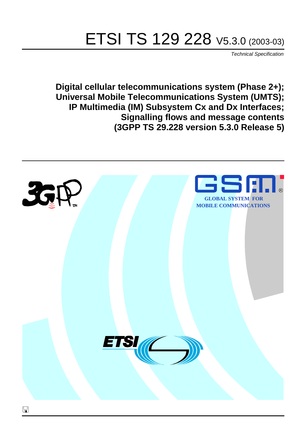# ETSI TS 129 228 V5.3.0 (2003-03)

Technical Specification

**Digital cellular telecommunications system (Phase 2+); Universal Mobile Telecommunications System (UMTS); IP Multimedia (IM) Subsystem Cx and Dx Interfaces; Signalling flows and message contents (3GPP TS 29.228 version 5.3.0 Release 5)**

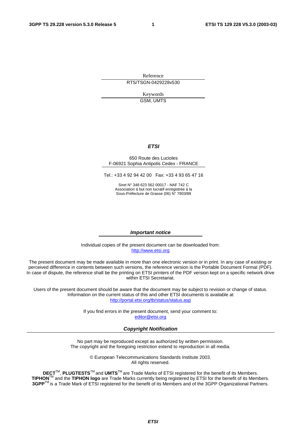Reference RTS/TSGN-0429228v530

> Keywords GSM, UMTS

#### **ETSI**

#### 650 Route des Lucioles F-06921 Sophia Antipolis Cedex - FRANCE

Tel.: +33 4 92 94 42 00 Fax: +33 4 93 65 47 16

Siret N° 348 623 562 00017 - NAF 742 C Association à but non lucratif enregistrée à la Sous-Préfecture de Grasse (06) N° 7803/88

#### **Important notice**

Individual copies of the present document can be downloaded from: [http://www.etsi.org](http://www.etsi.org/)

The present document may be made available in more than one electronic version or in print. In any case of existing or perceived difference in contents between such versions, the reference version is the Portable Document Format (PDF). In case of dispute, the reference shall be the printing on ETSI printers of the PDF version kept on a specific network drive within ETSI Secretariat.

Users of the present document should be aware that the document may be subject to revision or change of status. Information on the current status of this and other ETSI documents is available at <http://portal.etsi.org/tb/status/status.asp>

> If you find errors in the present document, send your comment to: [editor@etsi.org](mailto:editor@etsi.org)

#### **Copyright Notification**

No part may be reproduced except as authorized by written permission. The copyright and the foregoing restriction extend to reproduction in all media.

> © European Telecommunications Standards Institute 2003. All rights reserved.

**DECT**TM, **PLUGTESTS**TM and **UMTS**TM are Trade Marks of ETSI registered for the benefit of its Members. **TIPHON**TM and the **TIPHON logo** are Trade Marks currently being registered by ETSI for the benefit of its Members. **3GPP**TM is a Trade Mark of ETSI registered for the benefit of its Members and of the 3GPP Organizational Partners.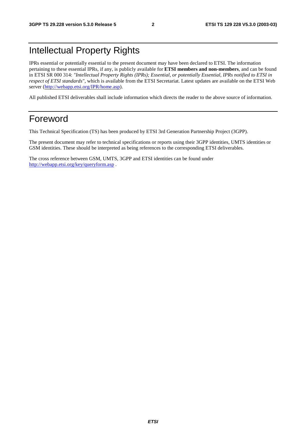## Intellectual Property Rights

IPRs essential or potentially essential to the present document may have been declared to ETSI. The information pertaining to these essential IPRs, if any, is publicly available for **ETSI members and non-members**, and can be found in ETSI SR 000 314: *"Intellectual Property Rights (IPRs); Essential, or potentially Essential, IPRs notified to ETSI in respect of ETSI standards"*, which is available from the ETSI Secretariat. Latest updates are available on the ETSI Web server ([http://webapp.etsi.org/IPR/home.asp\)](http://webapp.etsi.org/IPR/home.asp).

All published ETSI deliverables shall include information which directs the reader to the above source of information.

### Foreword

This Technical Specification (TS) has been produced by ETSI 3rd Generation Partnership Project (3GPP).

The present document may refer to technical specifications or reports using their 3GPP identities, UMTS identities or GSM identities. These should be interpreted as being references to the corresponding ETSI deliverables.

The cross reference between GSM, UMTS, 3GPP and ETSI identities can be found under <http://webapp.etsi.org/key/queryform.asp>.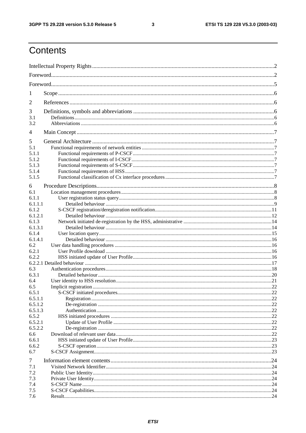$\mathbf{3}$ 

## Contents

| 1              |  |
|----------------|--|
| 2              |  |
| 3              |  |
| 3.1<br>3.2     |  |
| $\overline{4}$ |  |
| 5              |  |
| 5.1            |  |
| 5.1.1          |  |
| 5.1.2          |  |
| 5.1.3          |  |
| 5.1.4          |  |
| 5.1.5          |  |
|                |  |
| 6              |  |
| 6.1            |  |
| 6.1.1          |  |
| 6.1.1.1        |  |
| 6.1.2          |  |
| 6.1.2.1        |  |
| 6.1.3          |  |
| 6.1.3.1        |  |
| 6.1.4          |  |
| 6.1.4.1        |  |
| 6.2            |  |
| 6.2.1          |  |
| 6.2.2          |  |
|                |  |
| 6.3            |  |
| 6.3.1          |  |
| 6.4            |  |
| 6.5            |  |
| 6.5.1          |  |
| 6.5.1.1        |  |
| 6.5.1.2        |  |
| 6.5.1.3        |  |
| 6.5.2          |  |
| 6.5.2.1        |  |
| 6.5.2.2        |  |
| 6.6            |  |
| 6.6.1          |  |
| 6.6.2          |  |
| 6.7            |  |
| $\tau$         |  |
| 7.1            |  |
| 7.2            |  |
| 7.3            |  |
| 7.4            |  |
| 7.5            |  |
| 7.6            |  |
|                |  |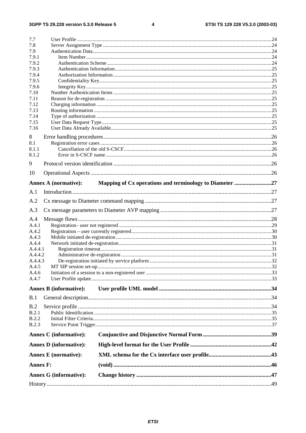#### $\overline{\mathbf{4}}$

| 7.7                           |  |  |  |  |  |  |  |  |
|-------------------------------|--|--|--|--|--|--|--|--|
| 7.8<br>7.9                    |  |  |  |  |  |  |  |  |
| 7.9.1                         |  |  |  |  |  |  |  |  |
| 7.9.2                         |  |  |  |  |  |  |  |  |
| 7.9.3                         |  |  |  |  |  |  |  |  |
| 7.9.4                         |  |  |  |  |  |  |  |  |
| 7.9.5<br>7.9.6                |  |  |  |  |  |  |  |  |
| 7.10                          |  |  |  |  |  |  |  |  |
| 7.11                          |  |  |  |  |  |  |  |  |
| 7.12<br>7.13                  |  |  |  |  |  |  |  |  |
| 7.14                          |  |  |  |  |  |  |  |  |
| 7.15                          |  |  |  |  |  |  |  |  |
| 7.16                          |  |  |  |  |  |  |  |  |
| 8                             |  |  |  |  |  |  |  |  |
| 8.1                           |  |  |  |  |  |  |  |  |
| 8.1.1<br>8.1.2                |  |  |  |  |  |  |  |  |
| 9                             |  |  |  |  |  |  |  |  |
| 10                            |  |  |  |  |  |  |  |  |
|                               |  |  |  |  |  |  |  |  |
| <b>Annex A (normative):</b>   |  |  |  |  |  |  |  |  |
| A.1                           |  |  |  |  |  |  |  |  |
| A.2                           |  |  |  |  |  |  |  |  |
| A.3                           |  |  |  |  |  |  |  |  |
| A.4                           |  |  |  |  |  |  |  |  |
| A.4.1                         |  |  |  |  |  |  |  |  |
| A.4.2                         |  |  |  |  |  |  |  |  |
| A.4.3<br>A.4.4                |  |  |  |  |  |  |  |  |
| A.4.4.1                       |  |  |  |  |  |  |  |  |
| A.4.4.2                       |  |  |  |  |  |  |  |  |
| A.4.4.3                       |  |  |  |  |  |  |  |  |
| A.4.5<br>A.4.6                |  |  |  |  |  |  |  |  |
| A.4.7                         |  |  |  |  |  |  |  |  |
| <b>Annex B</b> (informative): |  |  |  |  |  |  |  |  |
| B.1                           |  |  |  |  |  |  |  |  |
|                               |  |  |  |  |  |  |  |  |
| B.2<br>B.2.1                  |  |  |  |  |  |  |  |  |
| <b>B.2.2</b>                  |  |  |  |  |  |  |  |  |
| <b>B.2.3</b>                  |  |  |  |  |  |  |  |  |
| <b>Annex C</b> (informative): |  |  |  |  |  |  |  |  |
| <b>Annex D</b> (informative): |  |  |  |  |  |  |  |  |
| <b>Annex E</b> (normative):   |  |  |  |  |  |  |  |  |
| <b>Annex F:</b>               |  |  |  |  |  |  |  |  |
|                               |  |  |  |  |  |  |  |  |
| <b>Annex G (informative):</b> |  |  |  |  |  |  |  |  |
|                               |  |  |  |  |  |  |  |  |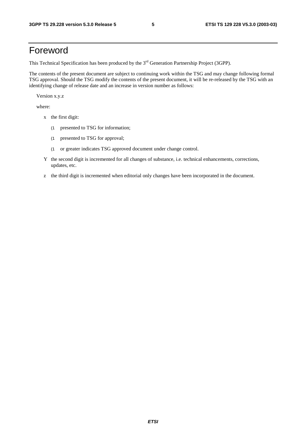### Foreword

This Technical Specification has been produced by the 3<sup>rd</sup> Generation Partnership Project (3GPP).

The contents of the present document are subject to continuing work within the TSG and may change following formal TSG approval. Should the TSG modify the contents of the present document, it will be re-released by the TSG with an identifying change of release date and an increase in version number as follows:

Version x.y.z

where:

- x the first digit:
	- (1 presented to TSG for information;
	- (1 presented to TSG for approval;
	- (1 or greater indicates TSG approved document under change control.
- Y the second digit is incremented for all changes of substance, i.e. technical enhancements, corrections, updates, etc.
- z the third digit is incremented when editorial only changes have been incorporated in the document.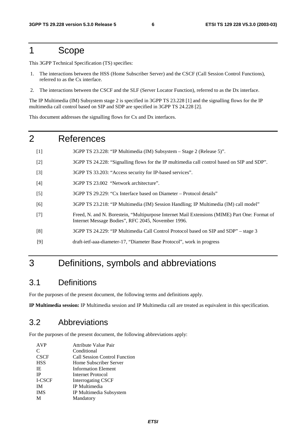### 1 Scope

This 3GPP Technical Specification (TS) specifies:

- 1. The interactions between the HSS (Home Subscriber Server) and the CSCF (Call Session Control Functions), referred to as the Cx interface.
- 2. The interactions between the CSCF and the SLF (Server Locator Function), referred to as the Dx interface.

The IP Multimedia (IM) Subsystem stage 2 is specified in 3GPP TS 23.228 [1] and the signalling flows for the IP multimedia call control based on SIP and SDP are specified in 3GPP TS 24.228 [2].

This document addresses the signalling flows for Cx and Dx interfaces.

### 2 References

- [1] 3GPP TS 23.228: "IP Multimedia (IM) Subsystem Stage 2 (Release 5)".
- [2] 3GPP TS 24.228: "Signalling flows for the IP multimedia call control based on SIP and SDP".
- [3] 3GPP TS 33.203: "Access security for IP-based services".
- [4] 3GPP TS 23.002 "Network architecture".
- [5] 3GPP TS 29.229: "Cx Interface based on Diameter Protocol details"
- [6] 3GPP TS 23.218: "IP Multimedia (IM) Session Handling; IP Multimedia (IM) call model"
- [7] Freed, N. and N. Borestein, "Multipurpose Internet Mail Extensions (MIME) Part One: Format of Internet Message Bodies", RFC 2045, November 1996.
- [8] 3GPP TS 24.229: "IP Multimedia Call Control Protocol based on SIP and SDP" stage 3
- [9] draft-ietf-aaa-diameter-17, "Diameter Base Protocol", work in progress

### 3 Definitions, symbols and abbreviations

#### 3.1 Definitions

For the purposes of the present document, the following terms and definitions apply.

**IP Multimedia session:** IP Multimedia session and IP Multimedia call are treated as equivalent in this specification.

#### 3.2 Abbreviations

For the purposes of the present document, the following abbreviations apply:

| Attribute Value Pair                 |
|--------------------------------------|
| Conditional                          |
| <b>Call Session Control Function</b> |
| Home Subscriber Server               |
| <b>Information Element</b>           |
| <b>Internet Protocol</b>             |
| <b>Interrogating CSCF</b>            |
| IP Multimedia                        |
| IP Multimedia Subsystem              |
| Mandatory                            |
|                                      |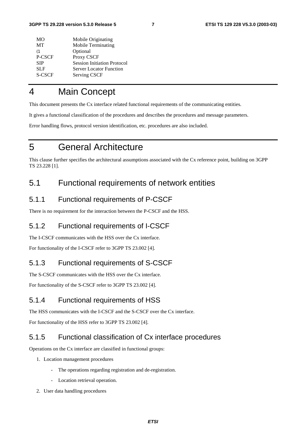| MO         | Mobile Originating                 |
|------------|------------------------------------|
| MT         | Mobile Terminating                 |
| (1)        | Optional                           |
| P-CSCF     | Proxy CSCF                         |
| <b>SIP</b> | <b>Session Initiation Protocol</b> |
| <b>SLF</b> | <b>Server Locator Function</b>     |
| S-CSCF     | Serving CSCF                       |
|            |                                    |

### 4 Main Concept

This document presents the Cx interface related functional requirements of the communicating entities.

It gives a functional classification of the procedures and describes the procedures and message parameters.

Error handling flows, protocol version identification, etc. procedures are also included.

## 5 General Architecture

This clause further specifies the architectural assumptions associated with the Cx reference point, building on 3GPP TS 23.228 [1].

### 5.1 Functional requirements of network entities

#### 5.1.1 Functional requirements of P-CSCF

There is no requirement for the interaction between the P-CSCF and the HSS.

#### 5.1.2 Functional requirements of I-CSCF

The I-CSCF communicates with the HSS over the Cx interface.

For functionality of the I-CSCF refer to 3GPP TS 23.002 [4].

#### 5.1.3 Functional requirements of S-CSCF

The S-CSCF communicates with the HSS over the Cx interface.

For functionality of the S-CSCF refer to 3GPP TS 23.002 [4].

#### 5.1.4 Functional requirements of HSS

The HSS communicates with the I-CSCF and the S-CSCF over the Cx interface.

For functionality of the HSS refer to 3GPP TS 23.002 [4].

#### 5.1.5 Functional classification of Cx interface procedures

Operations on the Cx interface are classified in functional groups:

- 1. Location management procedures
	- The operations regarding registration and de-registration.
	- Location retrieval operation.
- 2. User data handling procedures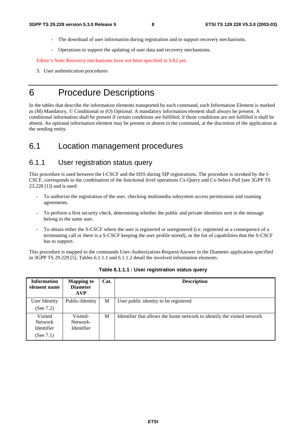- The download of user information during registration and to support recovery mechanisms.
- Operations to support the updating of user data and recovery mechanisms.

Editor's Note: Recovery mechanisms have not been specified in SA2 yet.

3. User authentication procedures

## 6 Procedure Descriptions

In the tables that describe the information elements transported by each command, each Information Element is marked as (M) Mandatory, © Conditional or (O) Optional. A mandatory information element shall always be present. A conditional information shall be present if certain conditions are fulfilled; if those conditions are not fulfilled it shall be absent. An optional information element may be present or absent in the command, at the discretion of the application at the sending entity.

### 6.1 Location management procedures

#### 6.1.1 User registration status query

This procedure is used between the I-CSCF and the HSS during SIP registrations. The procedure is invoked by the I-CSCF, corresponds to the combination of the functional level operations Cx-Query and Cx-Select-Pull (see 3GPP TS 23.228 [1]) and is used:

- To authorize the registration of the user, checking multimedia subsystem access permissions and roaming agreements.
- To perform a first security check, determining whether the public and private identities sent in the message belong to the same user.
- To obtain either the S-CSCF where the user is registered or unregistered (i.e. registered as a consequence of a terminating call or there is a S-CSCF keeping the user profile stored), or the list of capabilities that the S-CSCF has to support.

This procedure is mapped to the commands User-Authorization-Request/Answer in the Diameter application specified in 3GPP TS 29.229 [5]. Tables 6.1.1.1 and 6.1.1.2 detail the involved information elements.

| <b>Information</b><br>element name                             | <b>Mapping to</b><br><b>Diameter</b><br><b>AVP</b> | Cat. | <b>Description</b>                                                      |
|----------------------------------------------------------------|----------------------------------------------------|------|-------------------------------------------------------------------------|
| <b>User Identity</b><br>(See 7.2)                              | Public-Identity                                    | M    | User public identity to be registered                                   |
| Visited<br><b>Network</b><br><b>Identifier</b><br>(See $7.1$ ) | Visited-<br>Network-<br><b>Identifier</b>          | M    | Identifier that allows the home network to identify the visited network |

**Table 6.1.1.1 : User registration status query**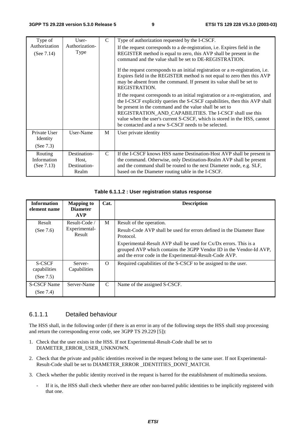| Type of                                  | User-                                          | $\mathcal{C}$ | Type of authorization requested by the I-CSCF.                                                                                                                                                                                                                                                                                                                                                                                                                            |
|------------------------------------------|------------------------------------------------|---------------|---------------------------------------------------------------------------------------------------------------------------------------------------------------------------------------------------------------------------------------------------------------------------------------------------------------------------------------------------------------------------------------------------------------------------------------------------------------------------|
| Authorization<br>(See $7.14$ )           | Authorization-<br><b>Type</b>                  |               | If the request corresponds to a de-registration, <i>i.e.</i> Expires field in the<br>REGISTER method is equal to zero, this AVP shall be present in the<br>command and the value shall be set to DE-REGISTRATION.<br>If the request corresponds to an initial registration or a re-registration, i.e.<br>Expires field in the REGISTER method is not equal to zero then this AVP<br>may be absent from the command. If present its value shall be set to<br>REGISTRATION. |
|                                          |                                                |               | If the request corresponds to an initial registration or a re-registration, and<br>the I-CSCF explicitly queries the S-CSCF capabilities, then this AVP shall<br>be present in the command and the value shall be set to<br>REGISTRATION AND CAPABILITIES. The I-CSCF shall use this<br>value when the user's current S-CSCF, which is stored in the HSS, cannot<br>be contacted and a new S-CSCF needs to be selected.                                                   |
| Private User<br>Identity<br>(See $7.3$ ) | User-Name                                      | M             | User private identity                                                                                                                                                                                                                                                                                                                                                                                                                                                     |
| Routing<br>Information<br>(See $7.13$ )  | Destination-<br>Host,<br>Destination-<br>Realm | $\mathcal{C}$ | If the I-CSCF knows HSS name Destination-Host AVP shall be present in<br>the command. Otherwise, only Destination-Realm AVP shall be present<br>and the command shall be routed to the next Diameter node, e.g. SLF,<br>based on the Diameter routing table in the I-CSCF.                                                                                                                                                                                                |

#### **Table 6.1.1.2 : User registration status response**

| <b>Information</b><br>element name | <b>Mapping to</b><br><b>Diameter</b><br><b>AVP</b> | Cat.          | <b>Description</b>                                                                                                                                                                                  |
|------------------------------------|----------------------------------------------------|---------------|-----------------------------------------------------------------------------------------------------------------------------------------------------------------------------------------------------|
| Result                             | Result-Code                                        | M             | Result of the operation.                                                                                                                                                                            |
| (See $7.6$ )                       | Experimental-<br>Result                            |               | Result-Code AVP shall be used for errors defined in the Diameter Base<br>Protocol.                                                                                                                  |
|                                    |                                                    |               | Experimental-Result AVP shall be used for Cx/Dx errors. This is a<br>grouped AVP which contains the 3GPP Vendor ID in the Vendor-Id AVP,<br>and the error code in the Experimental-Result-Code AVP. |
| <b>S-CSCF</b><br>capabilities      | Server-<br>Capabilities                            | $\Omega$      | Required capabilities of the S-CSCF to be assigned to the user.                                                                                                                                     |
| (See $7.5$ )                       |                                                    |               |                                                                                                                                                                                                     |
| <b>S-CSCF Name</b><br>(See $7.4$ ) | Server-Name                                        | $\mathcal{C}$ | Name of the assigned S-CSCF.                                                                                                                                                                        |

#### 6.1.1.1 Detailed behaviour

The HSS shall, in the following order (if there is an error in any of the following steps the HSS shall stop processing and return the corresponding error code, see 3GPP TS 29.229 [5]):

- 1. Check that the user exists in the HSS. If not Experimental-Result-Code shall be set to DIAMETER\_ERROR\_USER\_UNKNOWN.
- 2. Check that the private and public identities received in the request belong to the same user. If not Experimental-Result-Code shall be set to DIAMETER\_ERROR \_IDENTITIES\_DONT\_MATCH.
- 3. Check whether the public identity received in the request is barred for the establishment of multimedia sessions.
	- If it is, the HSS shall check whether there are other non-barred public identities to be implicitly registered with that one.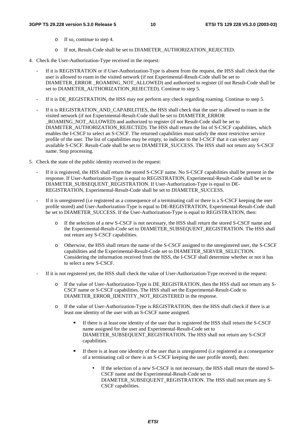#### **3GPP TS 29.228 version 5.3.0 Release 5 10 ETSI TS 129 228 V5.3.0 (2003-03)**

- o If so, continue to step 4.
- o If not, Result-Code shall be set to DIAMETER\_AUTHORIZATION\_REJECTED.
- 4. Check the User-Authorization-Type received in the request:
	- If it is REGISTRATION or if User-Authorization-Type is absent from the request, the HSS shall check that the user is allowed to roam in the visited network (if not Experimental-Result-Code shall be set to DIAMETER\_ERROR \_ROAMING\_NOT\_ALLOWED) and authorized to register (if not Result-Code shall be set to DIAMETER\_AUTHORIZATION\_REJECTED). Continue to step 5.
	- If it is DE\_REGISTRATION, the HSS may not perform any check regarding roaming. Continue to step 5.
	- If it is REGISTRATION AND CAPABILITIES, the HSS shall check that the user is allowed to roam in the visited network (if not Experimental-Result-Code shall be set to DIAMETER\_ERROR ROAMING\_NOT\_ALLOWED) and authorized to register (if not Result-Code shall be set to DIAMETER\_AUTHORIZATION\_REJECTED). The HSS shall return the list of S-CSCF capabilities, which enables the I-CSCF to select an S-CSCF. The returned capabilities must satisfy the most restrictive service profile of the user. The list of capabilities may be empty, to indicate to the I-CSCF that it can select any available S-CSCF. Result-Code shall be set to DIAMETER\_SUCCESS. The HSS shall not return any S-CSCF name. Stop processing.
- 5. Check the state of the public identity received in the request:
	- If it is registered, the HSS shall return the stored S-CSCF name. No S-CSCF capabilities shall be present in the response. If User-Authorization-Type is equal to REGISTRATION, Experimental-Result-Code shall be set to DIAMETER\_SUBSEQUENT\_REGISTRATION. If User-Authorization-Type is equal to DE-REGISTRATION, Experimental-Result-Code shall be set to DIAMETER\_SUCCESS.
	- If it is unregistered (i.e registered as a consequence of a terminating call or there is a S-CSCF keeping the user profile stored) and User-Authorization-Type is equal to DE-REGISTRATION, Experimental-Result-Code shall be set to DIAMETER\_SUCCESS. If the User-Authorization-Type is equal to REGISTRATION, then:
		- o If the selection of a new S-CSCF is not necessary, the HSS shall return the stored S-CSCF name and the Experimental-Result-Code set to DIAMETER\_SUBSEQUENT\_REGISTRATION. The HSS shall not return any S-CSCF capabilities.
		- o Otherwise, the HSS shall return the name of the S-CSCF assigned to the unregistered user, the S-CSCF capabilities and the Experimental-Result-Code set to DIAMETER\_SERVER\_SELECTION. Considering the information received from the HSS, the I-CSCF shall determine whether or not it has to select a new S-CSCF.
	- If it is not registered yet, the HSS shall check the value of User-Authorization-Type received in the request:
		- If the value of User-Authorization-Type is DE\_REGISTRATION, then the HSS shall not return any S-CSCF name or S-CSCF capabilities. The HSS shall set the Experimental-Result-Code to DIAMETER\_ERROR\_IDENTITY\_NOT\_REGISTERED in the response.
		- o If the value of User-Authorization-Type is REGISTRATION, then the HSS shall check if there is at least one identity of the user with an S-CSCF name assigned.
			- If there is at least one identity of the user that is registered the HSS shall return the S-CSCF name assigned for the user and Experimental-Result-Code set to DIAMETER\_SUBSEQUENT\_REGISTRATION. The HSS shall not return any S-CSCF capabilities.
			- If there is at least one identity of the user that is unregistered (i.e registered as a consequence of a terminating call or there is an S-CSCF keeping the user profile stored), then:
				- If the selection of a new S-CSCF is not necessary, the HSS shall return the stored S-CSCF name and the Experimental-Result-Code set to DIAMETER\_SUBSEQUENT\_REGISTRATION. The HSS shall not return any S-CSCF capabilities.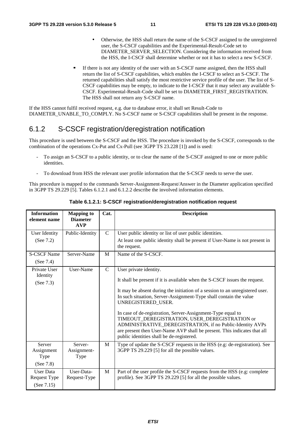- Otherwise, the HSS shall return the name of the S-CSCF assigned to the unregistered user, the S-CSCF capabilities and the Experimental-Result-Code set to DIAMETER\_SERVER\_SELECTION. Considering the information received from the HSS, the I-CSCF shall determine whether or not it has to select a new S-CSCF.
- If there is not any identity of the user with an S-CSCF name assigned, then the HSS shall return the list of S-CSCF capabilities, which enables the I-CSCF to select an S-CSCF. The returned capabilities shall satisfy the most restrictive service profile of the user. The list of S-CSCF capabilities may be empty, to indicate to the I-CSCF that it may select any available S-CSCF. Experimental-Result-Code shall be set to DIAMETER\_FIRST\_REGISTRATION. The HSS shall not return any S-CSCF name.

If the HSS cannot fulfil received request, e.g. due to database error, it shall set Result-Code to DIAMETER\_UNABLE\_TO\_COMPLY. No S-CSCF name or S-CSCF capabilities shall be present in the response.

#### 6.1.2 S-CSCF registration/deregistration notification

This procedure is used between the S-CSCF and the HSS. The procedure is invoked by the S-CSCF, corresponds to the combination of the operations Cx-Put and Cx-Pull (see 3GPP TS 23.228 [1]) and is used:

- To assign an S-CSCF to a public identity, or to clear the name of the S-CSCF assigned to one or more public identities.
- To download from HSS the relevant user profile information that the S-CSCF needs to serve the user.

This procedure is mapped to the commands Server-Assignment-Request/Answer in the Diameter application specified in 3GPP TS 29.229 [5]. Tables 6.1.2.1 and 6.1.2.2 describe the involved information elements.

| <b>Information</b><br>element name                | <b>Mapping to</b><br><b>Diameter</b><br><b>AVP</b> | Cat.          | <b>Description</b>                                                                                                                                                                                                                                                                                  |
|---------------------------------------------------|----------------------------------------------------|---------------|-----------------------------------------------------------------------------------------------------------------------------------------------------------------------------------------------------------------------------------------------------------------------------------------------------|
| <b>User Identity</b>                              | Public-Identity                                    | $\mathcal{C}$ | User public identity or list of user public identities.                                                                                                                                                                                                                                             |
| (See 7.2)                                         |                                                    |               | At least one public identity shall be present if User-Name is not present in<br>the request.                                                                                                                                                                                                        |
| <b>S-CSCF Name</b><br>(See 7.4)                   | Server-Name                                        | M             | Name of the S-CSCF.                                                                                                                                                                                                                                                                                 |
| Private User<br>Identity                          | User-Name                                          | $\mathbf C$   | User private identity.                                                                                                                                                                                                                                                                              |
| (See 7.3)                                         |                                                    |               | It shall be present if it is available when the S-CSCF issues the request.                                                                                                                                                                                                                          |
|                                                   |                                                    |               | It may be absent during the initiation of a session to an unregistered user.                                                                                                                                                                                                                        |
|                                                   |                                                    |               | In such situation, Server-Assignment-Type shall contain the value<br>UNREGISTERED_USER.                                                                                                                                                                                                             |
|                                                   |                                                    |               | In case of de-registration, Server-Assignment-Type equal to<br>TIMEOUT_DEREGISTRATION, USER_DEREGISTRATION or<br>ADMINISTRATIVE_DEREGISTRATION, if no Public-Identity AVPs<br>are present then User-Name AVP shall be present. This indicates that all<br>public identities shall be de-registered. |
| Server                                            | Server-                                            | M             | Type of update the S-CSCF requests in the HSS (e.g: de-registration). See                                                                                                                                                                                                                           |
| Assignment<br>Type                                | Assignment-<br>Type                                |               | 3GPP TS 29.229 [5] for all the possible values.                                                                                                                                                                                                                                                     |
| (See 7.8)                                         |                                                    |               |                                                                                                                                                                                                                                                                                                     |
| <b>User Data</b><br>Request Type<br>(See $7.15$ ) | User-Data-<br>Request-Type                         | $\mathbf{M}$  | Part of the user profile the S-CSCF requests from the HSS (e.g: complete<br>profile). See 3GPP TS 29.229 [5] for all the possible values.                                                                                                                                                           |

**Table 6.1.2.1: S-CSCF registration/deregistration notification request**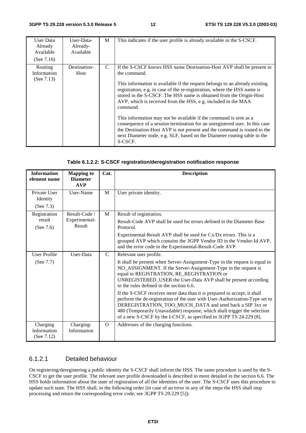| User Data<br>Already<br>Available<br>(See $7.16$ ) | User-Data-<br>Already-<br>Available | M | This indicates if the user profile is already available in the S-CSCF.                                                                                                                                                                                                                                                                                                                                                                                                                                                                                                                                                                                                                                                      |
|----------------------------------------------------|-------------------------------------|---|-----------------------------------------------------------------------------------------------------------------------------------------------------------------------------------------------------------------------------------------------------------------------------------------------------------------------------------------------------------------------------------------------------------------------------------------------------------------------------------------------------------------------------------------------------------------------------------------------------------------------------------------------------------------------------------------------------------------------------|
| Routing<br>Information<br>(See $7.13$ )            | Destination-<br>Host                | C | If the S-CSCF knows HSS name Destination-Host AVP shall be present in<br>the command.<br>This information is available if the request belongs to an already existing<br>registration, e.g. in case of the re-registration, where the HSS name is<br>stored in the S-CSCF. The HSS name is obtained from the Origin-Host<br>AVP, which is received from the HSS, e.g. included in the MAA<br>command.<br>This information may not be available if the command is sent as a<br>consequence of a session termination for an unregistered user. In this case<br>the Destination-Host AVP is not present and the command is routed to the<br>next Diameter node, e.g. SLF, based on the Diameter routing table in the<br>S-CSCF. |

| Table 6.1.2.2: S-CSCF registration/deregistration notification response |  |
|-------------------------------------------------------------------------|--|
|                                                                         |  |

| <b>Information</b><br>element name       | <b>Mapping to</b><br><b>Diameter</b><br><b>AVP</b> | Cat.          | <b>Description</b>                                                                                                                                                                                                                                                                                                                                                                                                                                                                                                                                                                                                                                                                                         |
|------------------------------------------|----------------------------------------------------|---------------|------------------------------------------------------------------------------------------------------------------------------------------------------------------------------------------------------------------------------------------------------------------------------------------------------------------------------------------------------------------------------------------------------------------------------------------------------------------------------------------------------------------------------------------------------------------------------------------------------------------------------------------------------------------------------------------------------------|
| Private User<br>Identity<br>(See $7.3$ ) | User-Name                                          | M             | User private identity.                                                                                                                                                                                                                                                                                                                                                                                                                                                                                                                                                                                                                                                                                     |
| Registration<br>result<br>(See $7.6$ )   | Result-Code /<br>Experimental-<br>Result           | M             | Result of registration.<br>Result-Code AVP shall be used for errors defined in the Diameter Base<br>Protocol.<br>Experimental-Result AVP shall be used for Cx/Dx errors. This is a<br>grouped AVP which contains the 3GPP Vendor ID in the Vendor-Id AVP,<br>and the error code in the Experimental-Result-Code AVP.                                                                                                                                                                                                                                                                                                                                                                                       |
| User Profile<br>(See 7.7)                | User-Data                                          | $\mathcal{C}$ | Relevant user profile.<br>It shall be present when Server-Assignment-Type in the request is equal to<br>NO_ASSIGNMENT. If the Server-Assignment-Type in the request is<br>equal to REGISTRATION, RE_REGISTRATION or<br>UNREGISTERED_USER the User-Data AVP shall be present according<br>to the rules defined in the section 6.6.<br>If the S-CSCF receives more data than it is prepared to accept, it shall<br>perform the de-registration of the user with User-Authorization-Type set to<br>DEREGISTRATION TOO MUCH DATA and send back a SIP 3xx or<br>480 (Temporarily Unavailable) response, which shall trigger the selection<br>of a new S-CSCF by the I-CSCF, as specified in 3GPP TS 24.229 [8]. |
| Charging<br>Information<br>(See $7.12$ ) | Charging-<br>Information                           | $\Omega$      | Addresses of the charging functions.                                                                                                                                                                                                                                                                                                                                                                                                                                                                                                                                                                                                                                                                       |

#### 6.1.2.1 Detailed behaviour

On registering/deregistering a public identity the S-CSCF shall inform the HSS. The same procedure is used by the S-CSCF to get the user profile. The relevant user profile downloaded is described in more detailed in the section 6.6. The HSS holds information about the state of registration of all the identities of the user. The S-CSCF uses this procedure to update such state. The HSS shall, in the following order (in case of an error in any of the steps the HSS shall stop processing and return the corresponding error code, see 3GPP TS 29.229 [5]):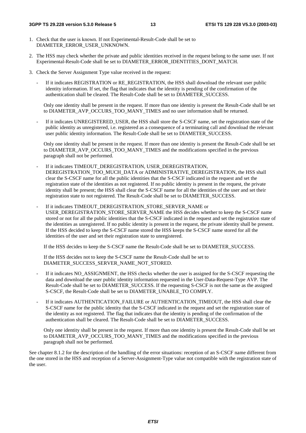- 1. Check that the user is known. If not Experimental-Result-Code shall be set to DIAMETER\_ERROR\_USER\_UNKNOWN.
- 2. The HSS may check whether the private and public identities received in the request belong to the same user. If not Experimental-Result-Code shall be set to DIAMETER\_ERROR\_IDENTITIES\_DONT\_MATCH.
- 3. Check the Server Assignment Type value received in the request:
	- If it indicates REGISTRATION or RE\_REGISTRATION, the HSS shall download the relevant user public identity information. If set, the flag that indicates that the identity is pending of the confirmation of the authentication shall be cleared. The Result-Code shall be set to DIAMETER\_SUCCESS.

Only one identity shall be present in the request. If more than one identity is present the Result-Code shall be set to DIAMETER\_AVP\_OCCURS\_TOO\_MANY\_TIMES and no user information shall be returned.

If it indicates UNREGISTERED\_USER, the HSS shall store the S-CSCF name, set the registration state of the public identity as unregistered, i.e. registered as a consequence of a terminating call and download the relevant user public identity information. The Result-Code shall be set to DIAMETER\_SUCCESS.

 Only one identity shall be present in the request. If more than one identity is present the Result-Code shall be set to DIAMETER AVP\_OCCURS\_TOO\_MANY\_TIMES and the modifications specified in the previous paragraph shall not be performed.

- If it indicates TIMEOUT\_DEREGISTRATION, USER\_DEREGISTRATION, DEREGISTRATION\_TOO\_MUCH\_DATA or ADMINISTRATIVE\_DEREGISTRATION, the HSS shall clear the S-CSCF name for all the public identities that the S-CSCF indicated in the request and set the registration state of the identities as not registered. If no public identity is present in the request, the private identity shall be present; the HSS shall clear the S-CSCF name for all the identities of the user and set their registration state to not registered. The Result-Code shall be set to DIAMETER\_SUCCESS.
- If it indicates TIMEOUT\_DEREGISTRATION\_STORE\_SERVER\_NAME or USER\_DEREGISTRATION\_STORE\_SERVER\_NAME the HSS decides whether to keep the S-CSCF name stored or not for all the public identities that the S-CSCF indicated in the request and set the registration state of the identities as unregistered. If no public identity is present in the request, the private identity shall be present. If the HSS decided to keep the S-CSCF name stored the HSS keeps the S-CSCF name stored for all the identities of the user and set their registration state to unregistered.

If the HSS decides to keep the S-CSCF name the Result-Code shall be set to DIAMETER\_SUCCESS.

If the HSS decides not to keep the S-CSCF name the Result-Code shall be set to DIAMETER\_SUCCESS\_SERVER\_NAME\_NOT\_STORED.

- If it indicates NO\_ASSIGNMENT, the HSS checks whether the user is assigned for the S-CSCF requesting the data and download the user public identity information requested in the User-Data-Request-Type AVP. The Result-Code shall be set to DIAMETER\_SUCCESS. If the requesting S-CSCF is not the same as the assigned S-CSCF, the Result-Code shall be set to DIAMETER\_UNABLE\_TO COMPLY.
- If it indicates AUTHENTICATION\_FAILURE or AUTHENTICATION\_TIMEOUT, the HSS shall clear the S-CSCF name for the public identity that the S-CSCF indicated in the request and set the registration state of the identity as not registered. The flag that indicates that the identity is pending of the confirmation of the authentication shall be cleared. The Result-Code shall be set to DIAMETER\_SUCCESS.

 Only one identity shall be present in the request. If more than one identity is present the Result-Code shall be set to DIAMETER\_AVP\_OCCURS\_TOO\_MANY\_TIMES and the modifications specified in the previous paragraph shall not be performed.

See chapter 8.1.2 for the description of the handling of the error situations: reception of an S-CSCF name different from the one stored in the HSS and reception of a Server-Assignment-Type value not compatible with the registration state of the user.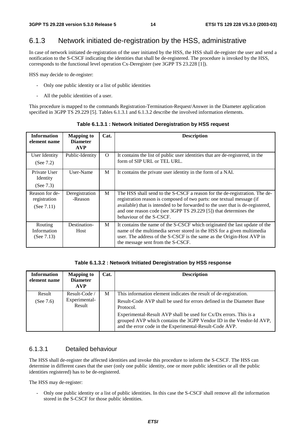#### 6.1.3 Network initiated de-registration by the HSS, administrative

In case of network initiated de-registration of the user initiated by the HSS, the HSS shall de-register the user and send a notification to the S-CSCF indicating the identities that shall be de-registered. The procedure is invoked by the HSS, corresponds to the functional level operation Cx-Deregister (see 3GPP TS 23.228 [1]).

HSS may decide to de-register:

- Only one public identity or a list of public identities
- All the public identities of a user.

This procedure is mapped to the commands Registration-Termination-Request/Answer in the Diameter application specified in 3GPP TS 29.229 [5]. Tables 6.1.3.1 and 6.1.3.2 describe the involved information elements.

| <b>Information</b><br>element name              | <b>Mapping to</b><br><b>Diameter</b><br><b>AVP</b> | Cat.     | <b>Description</b>                                                                                                                                                                                                                                                                                                                    |
|-------------------------------------------------|----------------------------------------------------|----------|---------------------------------------------------------------------------------------------------------------------------------------------------------------------------------------------------------------------------------------------------------------------------------------------------------------------------------------|
| User Identity<br>(See $7.2$ )                   | Public-Identity                                    | $\Omega$ | It contains the list of public user identities that are de-registered, in the<br>form of SIP URL or TEL URL.                                                                                                                                                                                                                          |
| Private User<br>Identity<br>(See $7.3$ )        | User-Name                                          | M        | It contains the private user identity in the form of a NAI.                                                                                                                                                                                                                                                                           |
| Reason for de-<br>registration<br>(See $7.11$ ) | Deregistration<br>-Reason                          | M        | The HSS shall send to the S-CSCF a reason for the de-registration. The de-<br>registration reason is composed of two parts: one textual message (if<br>available) that is intended to be forwarded to the user that is de-registered,<br>and one reason code (see 3GPP TS 29.229 [5]) that determines the<br>behaviour of the S-CSCF. |
| Routing<br>Information<br>(See $7.13$ )         | Destination-<br>Host                               | M        | It contains the name of the S-CSCF which originated the last update of the<br>name of the multimedia server stored in the HSS for a given multimedia<br>user. The address of the S-CSCF is the same as the Origin-Host AVP in<br>the message sent from the S-CSCF.                                                                    |

**Table 6.1.3.1 : Network Initiated Deregistration by HSS request** 

#### **Table 6.1.3.2 : Network Initiated Deregistration by HSS response**

| <b>Information</b><br>element name | <b>Mapping to</b><br><b>Diameter</b><br><b>AVP</b> | Cat. | <b>Description</b>                                                                                                                                                                                  |
|------------------------------------|----------------------------------------------------|------|-----------------------------------------------------------------------------------------------------------------------------------------------------------------------------------------------------|
| Result                             | Result-Code /                                      | М    | This information element indicates the result of de-registration.                                                                                                                                   |
| (See $7.6$ )                       | Experimental-<br>Result                            |      | Result-Code AVP shall be used for errors defined in the Diameter Base<br>Protocol.                                                                                                                  |
|                                    |                                                    |      | Experimental-Result AVP shall be used for Cx/Dx errors. This is a<br>grouped AVP which contains the 3GPP Vendor ID in the Vendor-Id AVP,<br>and the error code in the Experimental-Result-Code AVP. |

#### 6.1.3.1 Detailed behaviour

The HSS shall de-register the affected identities and invoke this procedure to inform the S-CSCF. The HSS can determine in different cases that the user (only one public identity, one or more public identities or all the public identities registered) has to be de-registered.

The HSS may de-register:

- Only one public identity or a list of public identities. In this case the S-CSCF shall remove all the information stored in the S-CSCF for those public identities.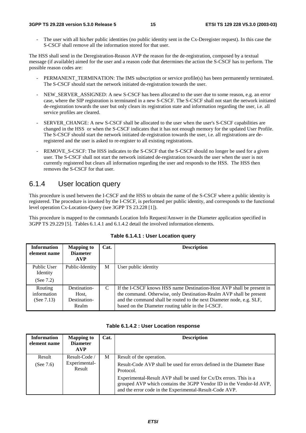#### **3GPP TS 29.228 version 5.3.0 Release 5 15 ETSI TS 129 228 V5.3.0 (2003-03)**

The user with all his/her public identities (no public identity sent in the Cx-Deregister request). In this case the S-CSCF shall remove all the information stored for that user.

The HSS shall send in the Deregistration-Reason AVP the reason for the de-registration, composed by a textual message (if available) aimed for the user and a reason code that determines the action the S-CSCF has to perform. The possible reason codes are:

- PERMANENT\_TERMINATION: The IMS subscription or service profile(s) has been permanently terminated. The S-CSCF should start the network initiated de-registration towards the user.
- NEW\_SERVER\_ASSIGNED: A new S-CSCF has been allocated to the user due to some reason, e.g. an error case, where the SIP registration is terminated in a new S-CSCF. The S-CSCF shall not start the network initiated de-registration towards the user but only clears its registration state and information regarding the user, i.e. all service profiles are cleared.
- SERVER CHANGE: A new S-CSCF shall be allocated to the user when the user's S-CSCF capabilities are changed in the HSS or when the S-CSCF indicates that it has not enough memory for the updated User Profile. The S-CSCF should start the network initiated de-registration towards the user, i.e. all registrations are deregistered and the user is asked to re-register to all existing registrations.
- REMOVE\_S-CSCF: The HSS indicates to the S-CSCF that the S-CSCF should no longer be used for a given user. The S-CSCF shall not start the network initiated de-registration towards the user when the user is not currently registered but clears all information regarding the user and responds to the HSS. The HSS then removes the S-CSCF for that user.

#### 6.1.4 User location query

This procedure is used between the I-CSCF and the HSS to obtain the name of the S-CSCF where a public identity is registered. The procedure is invoked by the I-CSCF, is performed per public identity, and corresponds to the functional level operation Cx-Location-Query (see 3GPP TS 23.228 [1]).

This procedure is mapped to the commands Location Info Request/Answer in the Diameter application specified in 3GPP TS 29.229 [5]. Tables 6.1.4.1 and 6.1.4.2 detail the involved information elements.

| <b>Information</b><br>element name      | <b>Mapping to</b><br><b>Diameter</b><br><b>AVP</b> | Cat.        | <b>Description</b>                                                                                                                                                                                                                                                         |
|-----------------------------------------|----------------------------------------------------|-------------|----------------------------------------------------------------------------------------------------------------------------------------------------------------------------------------------------------------------------------------------------------------------------|
| Public User<br>Identity<br>(See $7.2$ ) | Public-Identity                                    | М           | User public identity                                                                                                                                                                                                                                                       |
| Routing<br>information<br>(See $7.13$ ) | Destination-<br>Host.<br>Destination-<br>Realm     | $\mathbf C$ | If the I-CSCF knows HSS name Destination-Host AVP shall be present in<br>the command. Otherwise, only Destination-Realm AVP shall be present<br>and the command shall be routed to the next Diameter node, e.g. SLF,<br>based on the Diameter routing table in the I-CSCF. |

**Table 6.1.4.1 : User Location query** 

| Table 6.1.4.2 : User Location response |
|----------------------------------------|
|----------------------------------------|

| <b>Information</b><br>element name | <b>Mapping to</b><br><b>Diameter</b><br><b>AVP</b> | Cat. | <b>Description</b>                                                                                                                                                                                  |
|------------------------------------|----------------------------------------------------|------|-----------------------------------------------------------------------------------------------------------------------------------------------------------------------------------------------------|
| Result<br>(See $7.6$ )             | Result-Code /<br>Experimental-<br>Result           | M    | Result of the operation.<br>Result-Code AVP shall be used for errors defined in the Diameter Base<br>Protocol.                                                                                      |
|                                    |                                                    |      | Experimental-Result AVP shall be used for Cx/Dx errors. This is a<br>grouped AVP which contains the 3GPP Vendor ID in the Vendor-Id AVP,<br>and the error code in the Experimental-Result-Code AVP. |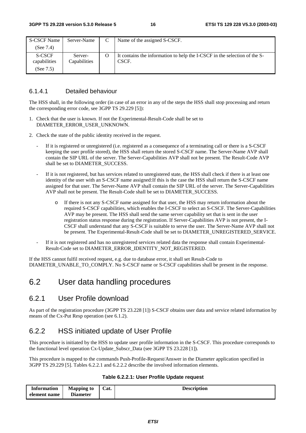| S-CSCF Name                                | Server-Name             | Name of the assigned S-CSCF.                                                       |
|--------------------------------------------|-------------------------|------------------------------------------------------------------------------------|
| (See 7.4)                                  |                         |                                                                                    |
| <b>S-CSCF</b><br>capabilities<br>(See 7.5) | Server-<br>Capabilities | It contains the information to help the I-CSCF in the selection of the S-<br>CSCF. |

#### 6.1.4.1 Detailed behaviour

The HSS shall, in the following order (in case of an error in any of the steps the HSS shall stop processing and return the corresponding error code, see 3GPP TS 29.229 [5]):

- 1. Check that the user is known. If not the Experimental-Result-Code shall be set to DIAMETER\_ERROR\_USER\_UNKNOWN.
- 2. Check the state of the public identity received in the request.
	- If it is registered or unregistered (i.e. registered as a consequence of a terminating call or there is a S-CSCF keeping the user profile stored), the HSS shall return the stored S-CSCF name. The Server-Name AVP shall contain the SIP URL of the server. The Server-Capabilities AVP shall not be present. The Result-Code AVP shall be set to DIAMETER\_SUCCESS.
	- If it is not registered, but has services related to unregistered state, the HSS shall check if there is at least one identity of the user with an S-CSCF name assigned:If this is the case the HSS shall return the S-CSCF name assigned for that user. The Server-Name AVP shall contain the SIP URL of the server. The Server-Capabilities AVP shall not be present. The Result-Code shall be set to DIAMETER\_SUCCESS.
		- o If there is not any S-CSCF name assigned for that user, the HSS may return information about the required S-CSCF capabilities, which enables the I-CSCF to select an S-CSCF. The Server-Capabilities AVP may be present. The HSS shall send the same server capability set that is sent in the user registration status response during the registration. If Server-Capabilities AVP is not present, the I-CSCF shall understand that any S-CSCF is suitable to serve the user. The Server-Name AVP shall not be present. The Experimental-Result-Code shall be set to DIAMETER\_UNREGISTERED\_SERVICE.
	- If it is not registered and has no unregistered services related data the response shall contain Experimental-Result-Code set to DIAMETER\_ERROR\_IDENTITY\_NOT\_REGISTERED.

If the HSS cannot fulfil received request, e.g. due to database error, it shall set Result-Code to DIAMETER\_UNABLE\_TO\_COMPLY. No S-CSCF name or S-CSCF capabilities shall be present in the response.

### 6.2 User data handling procedures

#### 6.2.1 User Profile download

As part of the registration procedure (3GPP TS 23.228 [1]) S-CSCF obtains user data and service related information by means of the Cx-Put Resp operation (see 6.1.2).

#### 6.2.2 HSS initiated update of User Profile

This procedure is initiated by the HSS to update user profile information in the S-CSCF. This procedure corresponds to the functional level operation Cx-Update\_Subscr\_Data (see 3GPP TS 23.228 [1]).

This procedure is mapped to the commands Push-Profile-Request/Answer in the Diameter application specified in 3GPP TS 29.229 [5]. Tables 6.2.2.1 and 6.2.2.2 describe the involved information elements.

#### **Table 6.2.2.1: User Profile Update request**

| <b>Information</b> | <b>Mapping to</b> | Cat. | <b>Description</b> |
|--------------------|-------------------|------|--------------------|
| element name       | <b>Diameter</b>   |      |                    |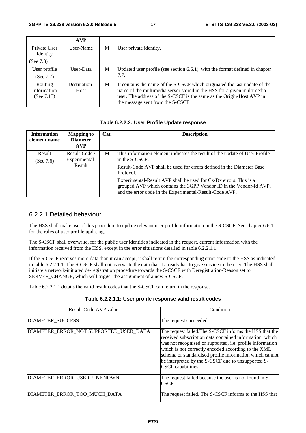|                                         | <b>AVP</b>           |   |                                                                                                                                                                                                                                                                    |
|-----------------------------------------|----------------------|---|--------------------------------------------------------------------------------------------------------------------------------------------------------------------------------------------------------------------------------------------------------------------|
| Private User<br>Identity                | User-Name            | М | User private identity.                                                                                                                                                                                                                                             |
| (See $7.3$ )                            |                      |   |                                                                                                                                                                                                                                                                    |
| User profile<br>(See $7.7$ )            | User-Data            | M | Updated user profile (see section $6.6.1$ ), with the format defined in chapter<br>7.7.                                                                                                                                                                            |
| Routing<br>Information<br>(See $7.13$ ) | Destination-<br>Host | M | It contains the name of the S-CSCF which originated the last update of the<br>name of the multimedia server stored in the HSS for a given multimedia<br>user. The address of the S-CSCF is the same as the Origin-Host AVP in<br>the message sent from the S-CSCF. |

#### **Table 6.2.2.2: User Profile Update response**

| <b>Information</b><br>element name | <b>Mapping to</b><br><b>Diameter</b><br><b>AVP</b> | Cat. | <b>Description</b>                                                                                                                                                                                  |
|------------------------------------|----------------------------------------------------|------|-----------------------------------------------------------------------------------------------------------------------------------------------------------------------------------------------------|
| Result<br>(See $7.6$ )             | Result-Code /<br>Experimental-                     | М    | This information element indicates the result of the update of User Profile<br>in the S-CSCF.                                                                                                       |
|                                    | Result                                             |      | Result-Code AVP shall be used for errors defined in the Diameter Base<br>Protocol.                                                                                                                  |
|                                    |                                                    |      | Experimental-Result AVP shall be used for Cx/Dx errors. This is a<br>grouped AVP which contains the 3GPP Vendor ID in the Vendor-Id AVP,<br>and the error code in the Experimental-Result-Code AVP. |

#### 6.2.2.1 Detailed behaviour

The HSS shall make use of this procedure to update relevant user profile information in the S-CSCF. See chapter 6.6.1 for the rules of user profile updating.

The S-CSCF shall overwrite, for the public user identities indicated in the request, current information with the information received from the HSS, except in the error situations detailed in table 6.2.2.1.1.

If the S-CSCF receives more data than it can accept, it shall return the corresponding error code to the HSS as indicated in table 6.2.2.1.1. The S-CSCF shall not overwrite the data that it already has to give service to the user. The HSS shall initiate a network-initiated de-registration procedure towards the S-CSCF with Deregistration-Reason set to SERVER\_CHANGE, which will trigger the assignment of a new S-CSCF.

Table 6.2.2.1.1 details the valid result codes that the S-CSCF can return in the response.

| Table 6.2.2.1.1: User profile response valid result codes |  |  |
|-----------------------------------------------------------|--|--|
|-----------------------------------------------------------|--|--|

| Result-Code AVP value                  | Condition                                                                                                                                                                                                                                                                                                                                                                     |
|----------------------------------------|-------------------------------------------------------------------------------------------------------------------------------------------------------------------------------------------------------------------------------------------------------------------------------------------------------------------------------------------------------------------------------|
| <b>DIAMETER_SUCCESS</b>                | The request succeeded.                                                                                                                                                                                                                                                                                                                                                        |
| DIAMETER_ERROR_NOT SUPPORTED_USER DATA | The request failed. The S-CSCF informs the HSS that the<br>received subscription data contained information, which<br>was not recognised or supported, i.e. profile information<br>which is not correctly encoded according to the XML<br>schema or standardised profile information which cannot<br>be interpreted by the S-CSCF due to unsupported S-<br>CSCF capabilities. |
| DIAMETER ERROR USER UNKNOWN            | The request failed because the user is not found in S-<br>CSCF.                                                                                                                                                                                                                                                                                                               |
| DIAMETER ERROR TOO MUCH DATA           | The request failed. The S-CSCF informs to the HSS that                                                                                                                                                                                                                                                                                                                        |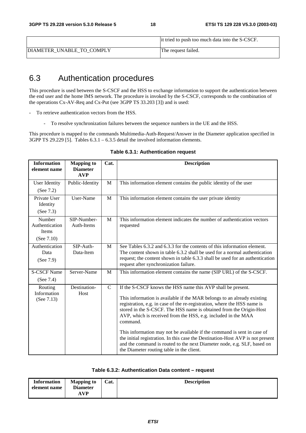|                           | it tried to push too much data into the S-CSCF. |
|---------------------------|-------------------------------------------------|
| DIAMETER UNABLE TO COMPLY | The request failed.                             |

### 6.3 Authentication procedures

This procedure is used between the S-CSCF and the HSS to exchange information to support the authentication between the end user and the home IMS network. The procedure is invoked by the S-CSCF, corresponds to the combination of the operations Cx-AV-Req and Cx-Put (see 3GPP TS 33.203 [3]) and is used:

- To retrieve authentication vectors from the HSS.

- To resolve synchronization failures between the sequence numbers in the UE and the HSS.

This procedure is mapped to the commands Multimedia-Auth-Request/Answer in the Diameter application specified in 3GPP TS 29.229 [5]. Tables 6.3.1 – 6.3.5 detail the involved information elements.

| <b>Information</b><br>element name                 | <b>Mapping to</b><br><b>Diameter</b><br><b>AVP</b> | Cat.        | <b>Description</b>                                                                                                                                                                                                                                                                                                                                                                                                                                                                                                                                                                                                                                          |  |
|----------------------------------------------------|----------------------------------------------------|-------------|-------------------------------------------------------------------------------------------------------------------------------------------------------------------------------------------------------------------------------------------------------------------------------------------------------------------------------------------------------------------------------------------------------------------------------------------------------------------------------------------------------------------------------------------------------------------------------------------------------------------------------------------------------------|--|
| <b>User Identity</b>                               | Public-Identity                                    | $\mathbf M$ | This information element contains the public identity of the user                                                                                                                                                                                                                                                                                                                                                                                                                                                                                                                                                                                           |  |
| (See 7.2)                                          |                                                    |             |                                                                                                                                                                                                                                                                                                                                                                                                                                                                                                                                                                                                                                                             |  |
| Private User<br>Identity<br>(See 7.3)              | User-Name                                          | M           | This information element contains the user private identity                                                                                                                                                                                                                                                                                                                                                                                                                                                                                                                                                                                                 |  |
| Number<br>Authentication<br>Items<br>(See $7.10$ ) | SIP-Number-<br>Auth-Items                          | M           | This information element indicates the number of authentication vectors<br>requested                                                                                                                                                                                                                                                                                                                                                                                                                                                                                                                                                                        |  |
| Authentication<br>Data<br>(See 7.9)                | SIP-Auth-<br>Data-Item                             | M           | See Tables 6.3.2 and 6.3.3 for the contents of this information element.<br>The content shown in table 6.3.2 shall be used for a normal authentication<br>request; the content shown in table 6.3.3 shall be used for an authentication<br>request after synchronization failure.                                                                                                                                                                                                                                                                                                                                                                           |  |
| <b>S-CSCF Name</b><br>(See $7.4$ )                 | Server-Name                                        | M           | This information element contains the name (SIP URL) of the S-CSCF.                                                                                                                                                                                                                                                                                                                                                                                                                                                                                                                                                                                         |  |
| Routing<br>Information<br>(See 7.13)               | Destination-<br>Host                               | $\mathbf C$ | If the S-CSCF knows the HSS name this AVP shall be present.<br>This information is available if the MAR belongs to an already existing<br>registration, e.g. in case of the re-registration, where the HSS name is<br>stored in the S-CSCF. The HSS name is obtained from the Origin-Host<br>AVP, which is received from the HSS, e.g. included in the MAA<br>command.<br>This information may not be available if the command is sent in case of<br>the initial registration. In this case the Destination-Host AVP is not present<br>and the command is routed to the next Diameter node, e.g. SLF, based on<br>the Diameter routing table in the client. |  |

#### **Table 6.3.1: Authentication request**

| Table 6.3.2: Authentication Data content - request |  |
|----------------------------------------------------|--|
|----------------------------------------------------|--|

| <b>Information</b><br>element name | <b>Mapping to</b><br><b>Diameter</b> | Cat. | <b>Description</b> |
|------------------------------------|--------------------------------------|------|--------------------|
|                                    | <b>AVP</b>                           |      |                    |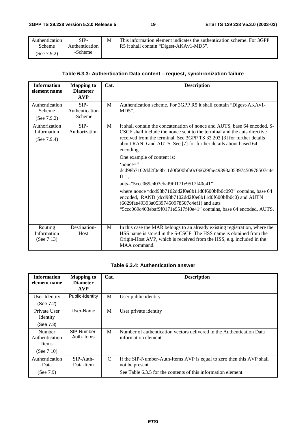| Authentication | SIP-           | This information element indicates the authentication scheme. For 3GPP |
|----------------|----------------|------------------------------------------------------------------------|
| Scheme         | Authentication | R5 it shall contain "Digest-AKAv1-MD5".                                |
| (See 7.9.2)    | -Scheme        |                                                                        |

#### **Table 6.3.3: Authentication Data content – request, synchronization failure**

| <b>Information</b><br>element name             | <b>Mapping to</b><br><b>Diameter</b><br><b>AVP</b> | Cat. | <b>Description</b>                                                                                                                                                                                                                                                                                                                                                            |
|------------------------------------------------|----------------------------------------------------|------|-------------------------------------------------------------------------------------------------------------------------------------------------------------------------------------------------------------------------------------------------------------------------------------------------------------------------------------------------------------------------------|
| Authentication<br>Scheme<br>(See $7.9.2$ )     | SIP-<br>Authentication<br>-Scheme                  | M    | Authentication scheme. For 3GPP R5 it shall contain "Digest-AKAv1-<br>$MD5$ ".                                                                                                                                                                                                                                                                                                |
| Authorization<br>Information<br>(See $7.9.4$ ) | SIP-<br>Authorization                              | M    | It shall contain the concatenation of nonce and AUTS, base 64 encoded. S-<br>CSCF shall include the nonce sent to the terminal and the auts directive<br>received from the terminal. See 3GPP TS 33.203 [3] for further details<br>about RAND and AUTS. See [7] for further details about based 64<br>encoding.<br>One example of content is:<br>$'nonce =''$                 |
|                                                |                                                    |      | dcd98b7102dd2f0e8b11d0f600bfb0c06629fae49393a05397450978507c4e<br>$f1$ ",<br>auts="5ccc069c403ebaf9f0171e9517f40e41"<br>where nonce "dcd98b7102dd2f0e8b11d0f600bfb0c093" contains, base 64<br>encoded, RAND (dcd98b7102dd2f0e8b11d0f600bfb0c0) and AUTN<br>(6629fae49393a05397450978507c4ef1) and auts<br>"5ccc069c403ebaf9f0171e9517f40e41" contains, base 64 encoded, AUTS. |
| Routing<br>Information<br>(See $7.13$ )        | Destination-<br>Host                               | M    | In this case the MAR belongs to an already existing registration, where the<br>HSS name is stored in the S-CSCF. The HSS name is obtained from the<br>Origin-Host AVP, which is received from the HSS, e.g. included in the<br>MAA command.                                                                                                                                   |

#### **Table 6.3.4: Authentication answer**

| <b>Information</b><br>element name                        | <b>Mapping to</b><br><b>Diameter</b><br><b>AVP</b> | Cat.          | <b>Description</b>                                                                                                                                        |
|-----------------------------------------------------------|----------------------------------------------------|---------------|-----------------------------------------------------------------------------------------------------------------------------------------------------------|
| User Identity<br>(See 7.2)                                | Public-Identity                                    | M             | User public identity                                                                                                                                      |
| Private User<br>Identity<br>(See 7.3)                     | User-Name                                          | M             | User private identity                                                                                                                                     |
| Number<br>Authentication<br><b>Items</b><br>(See $7.10$ ) | SIP-Number-<br>Auth-Items                          | M             | Number of authentication vectors delivered in the Authentication Data<br>information element                                                              |
| Authentication<br>Data<br>(See $7.9$ )                    | $SIP-Auth-$<br>Data-Item                           | $\mathcal{C}$ | If the SIP-Number-Auth-Items AVP is equal to zero then this AVP shall<br>not be present.<br>See Table 6.3.5 for the contents of this information element. |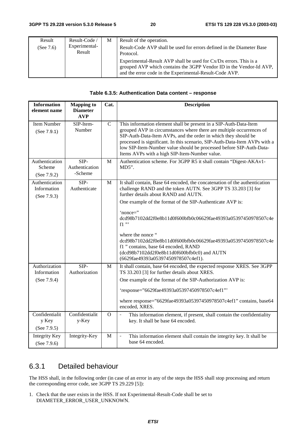| Result       | Result-Code /           | M | Result of the operation.                                                                                                                                                                            |
|--------------|-------------------------|---|-----------------------------------------------------------------------------------------------------------------------------------------------------------------------------------------------------|
| (See $7.6$ ) | Experimental-<br>Result |   | Result-Code AVP shall be used for errors defined in the Diameter Base<br>Protocol.                                                                                                                  |
|              |                         |   | Experimental-Result AVP shall be used for Cx/Dx errors. This is a<br>grouped AVP which contains the 3GPP Vendor ID in the Vendor-Id AVP,<br>and the error code in the Experimental-Result-Code AVP. |

| Table 6.3.5: Authentication Data content - response |  |
|-----------------------------------------------------|--|
|-----------------------------------------------------|--|

| <b>Information</b><br>element name           | <b>Mapping to</b><br><b>Diameter</b><br><b>AVP</b> | Cat.        | <b>Description</b>                                                                                                                                                                                                                                                                                                                                                                                                |
|----------------------------------------------|----------------------------------------------------|-------------|-------------------------------------------------------------------------------------------------------------------------------------------------------------------------------------------------------------------------------------------------------------------------------------------------------------------------------------------------------------------------------------------------------------------|
| <b>Item Number</b><br>(See 7.9.1)            | SIP-Item-<br>Number                                | $\mathbf C$ | This information element shall be present in a SIP-Auth-Data-Item<br>grouped AVP in circumstances where there are multiple occurrences of<br>SIP-Auth-Data-Item AVPs, and the order in which they should be<br>processed is significant. In this scenario, SIP-Auth-Data-Item AVPs with a<br>low SIP-Item-Number value should be processed before SIP-Auth-Data-<br>Items AVPs with a high SIP-Item-Number value. |
| Authentication<br>Scheme<br>(See 7.9.2)      | SIP-<br>Authentication<br>-Scheme                  | M           | Authentication scheme. For 3GPP R5 it shall contain "Digest-AKAv1-<br>$MD5$ ".                                                                                                                                                                                                                                                                                                                                    |
| Authentication<br>Information<br>(See 7.9.3) | $\overline{SIP}$<br>Authenticate                   | M           | It shall contain, Base 64 encoded, the concatenation of the authentication<br>challenge RAND and the token AUTN. See 3GPP TS 33.203 [3] for<br>further details about RAND and AUTN.                                                                                                                                                                                                                               |
|                                              |                                                    |             | One example of the format of the SIP-Authenticate AVP is:                                                                                                                                                                                                                                                                                                                                                         |
|                                              |                                                    |             | 'nonce="<br>dcd98b7102dd2f0e8b11d0f600bfb0c06629fae49393a05397450978507c4e<br>$f1$ "                                                                                                                                                                                                                                                                                                                              |
|                                              |                                                    |             | where the nonce "<br>dcd98b7102dd2f0e8b11d0f600bfb0c06629fae49393a05397450978507c4e<br>f1 " contains, base 64 encoded, RAND<br>(dcd98b7102dd2f0e8b11d0f600bfb0c0) and AUTN<br>(6629fae49393a05397450978507c4ef1).                                                                                                                                                                                                 |
| Authorization<br>Information                 | $\overline{\text{SIP}}$<br>Authorization           | M           | It shall contain, base 64 encoded, the expected response XRES. See 3GPP<br>TS 33.203 [3] for further details about XRES.                                                                                                                                                                                                                                                                                          |
| (See $7.9.4$ )                               |                                                    |             | One example of the format of the SIP-Authorization AVP is:                                                                                                                                                                                                                                                                                                                                                        |
|                                              |                                                    |             | 'response="6629fae49393a05397450978507c4ef1"'                                                                                                                                                                                                                                                                                                                                                                     |
|                                              |                                                    |             | where response="6629fae49393a05397450978507c4ef1" contains, base64<br>encoded, XRES.                                                                                                                                                                                                                                                                                                                              |
| Confidentialit<br>y Key<br>(See 7.9.5)       | Confidentialit<br>y-Key                            | $\Omega$    | This information element, if present, shall contain the confidentiality<br>$\blacksquare$<br>key. It shall be base 64 encoded.                                                                                                                                                                                                                                                                                    |
| <b>Integrity Key</b><br>(See 7.9.6)          | Integrity-Key                                      | M           | This information element shall contain the integrity key. It shall be<br>÷,<br>base 64 encoded.                                                                                                                                                                                                                                                                                                                   |
|                                              |                                                    |             |                                                                                                                                                                                                                                                                                                                                                                                                                   |

#### 6.3.1 Detailed behaviour

The HSS shall, in the following order (in case of an error in any of the steps the HSS shall stop processing and return the corresponding error code, see 3GPP TS 29.229 [5]):

1. Check that the user exists in the HSS. If not Experimental-Result-Code shall be set to DIAMETER\_ERROR\_USER\_UNKNOWN.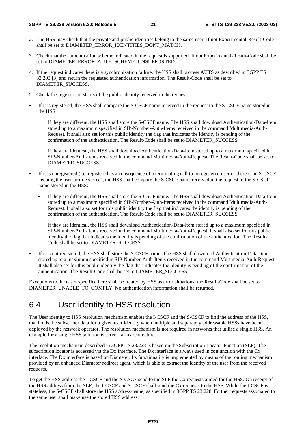- 2. The HSS may check that the private and public identities belong to the same user. If not Experimental-Result-Code shall be set to DIAMETER\_ERROR\_IDENTITIES\_DONT\_MATCH.
- 3. Check that the authentication scheme indicated in the request is supported. If not Experimental-Result-Code shall be set to DIAMETER\_ERROR\_AUTH\_SCHEME\_UNSUPPORTED.
- 4. If the request indicates there is a synchronization failure, the HSS shall process AUTS as described in 3GPP TS 33.203 [3] and return the requested authentication information. The Result-Code shall be set to DIAMETER\_SUCCESS.
- 5. Check the registration status of the public identity received in the request:
- If it is registered, the HSS shall compare the S-CSCF name received in the request to the S-CSCF name stored in<br>the HSS:<br>If they are different, the HSS shall store the S-CSCF name. The HSS shall download Authentication-Dat the HSS:
	- If they are different, the HSS shall store the S-CSCF name. The HSS shall download Authentication-Data-Item stored up to a maximum specified in SIP-Number-Auth-Items received in the command Multimedia-Auth-Request. It shal stored up to a maximum specified in SIP-Number-Auth-Items received in the command Multimedia-Auth-Request. It shall also set for this public identity the flag that indicates the identity is pending of the confirmation of the authentication. The Result-Code shall be set to DIAMETER\_SUCCESS.
	- If they are identical, the HSS shall download Authentication-Data-Item stored up to a maximum specified in SIP-Number-Auth-Items received in the command Multimedia-Auth-Request. The Result-Code shall be set t DIAMETER\_SUCC SIP-Number-Auth-Items received in the command Multimedia-Auth-Request. The Result-Code shall be set to DIAMETER\_SUCCESS.
- If it is unregistered (i.e. registered as a consequence of a terminating call to unregistered user or there is an S-CSCF<br>keeping the user profile stored), the HSS shall compare the S-CSCF name received in the request to th keeping the user profile stored), the HSS shall compare the S-CSCF name received in the request to the S-CSCF name stored in the HSS:
	- If they are different, the HSS shall store the S-CSCF name. The HSS shall download Authentication-Data-Item stored up to a maximum specified in SIP-Number-Auth-Items received in the command Multimedia-Auth-Request. It shal stored up to a maximum specified in SIP-Number-Auth-Items received in the command Multimedia-Auth-Request. It shall also set for this public identity the flag that indicates the identity is pending of the confirmation of the authentication. The Result-Code shall be set to DIAMETER\_SUCCESS.
	- If they are identical, the HSS shall download Authentication-Data-Item stored up to a maximum specified in SIP-Number-Auth-Items received in the command Multimedia-Auth-Request. It shall also set for this public identity t SIP-Number-Auth-Items received in the command Multimedia-Auth-Request. It shall also set for this public identity the flag that indicates the identity is pending of the confirmation of the authentication. The Result-Code shall be set to DIAMETER\_SUCCESS.
- If it is not registered, the HSS shall store the S-CSCF name. The HSS shall download Authentication-Data-Item stored up to a maximum specified in SIP-Number-Auth-Items received in the command Multimedia-Auth-Request. It shall also set for this public identity the flag that indicates the identity is pending of the confirmation of the authentication. The Result-Code shall be set to DIAMETER\_SUCCESS.

Exceptions to the cases specified here shall be treated by HSS as error situations, the Result-Code shall be set to DIAMETER\_UNABLE\_TO\_COMPLY. No authentication information shall be returned.

## 6.4 User identity to HSS resolution

The User identity to HSS resolution mechanism enables the I-CSCF and the S-CSCF to find the address of the HSS, that holds the subscriber data for a given user identity when multiple and separately addressable HSSs have been deployed by the network operator. The resolution mechanism is not required in networks that utilise a single HSS. An example for a single HSS solution is server farm architecture.

The resolution mechanism described in 3GPP TS 23.228 is based on the Subscription Locator Function (SLF). The subscription locator is accessed via the Dx interface. The Dx interface is always used in conjunction with the Cx interface. The Dx interface is based on Diameter. Its functionality is implemented by means of the routing mechanism provided by an enhanced Diameter redirect agent, which is able to extract the identity of the user from the received requests.

To get the HSS address the I-CSCF and the S-CSCF send to the SLF the Cx requests aimed for the HSS. On receipt of the HSS address from the SLF, the I-CSCF and S-CSCF shall send the Cx requests to the HSS. While the I-CSCF is stateless, the S-CSCF shall store the HSS address/name, as specified in 3GPP TS 23.228. Further requests associated to the same user shall make use the stored HSS address.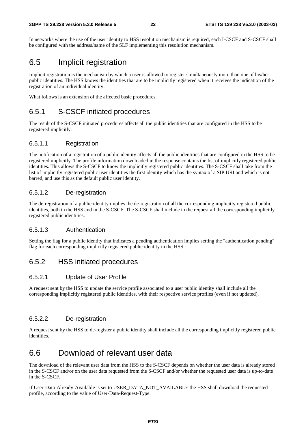In networks where the use of the user identity to HSS resolution mechanism is required, each I-CSCF and S-CSCF shall be configured with the address/name of the SLF implementing this resolution mechanism.

### 6.5 Implicit registration

Implicit registration is the mechanism by which a user is allowed to register simultaneously more than one of his/her public identities. The HSS knows the identities that are to be implicitly registered when it receives the indication of the registration of an individual identity.

What follows is an extension of the affected basic procedures.

#### 6.5.1 S-CSCF initiated procedures

The result of the S-CSCF initiated procedures affects all the public identities that are configured in the HSS to be registered implicitly.

#### 6.5.1.1 Registration

The notification of a registration of a public identity affects all the public identities that are configured in the HSS to be registered implicitly. The profile information downloaded in the response contains the list of implicitly registered public identities. This allows the S-CSCF to know the implicitly registered public identities. The S-CSCF shall take from the list of implicitly registered public user identities the first identity which has the syntax of a SIP URI and which is not barred, and use this as the default public user identity.

#### 6.5.1.2 De-registration

The de-registration of a public identity implies the de-registration of all the corresponding implicitly registered public identities, both in the HSS and in the S-CSCF. The S-CSCF shall include in the request all the corresponding implicitly registered public identities.

#### 6.5.1.3 Authentication

Setting the flag for a public identity that indicates a pending authentication implies setting the "authentication pending" flag for each corresponding implicitly registered public identity in the HSS.

#### 6.5.2 HSS initiated procedures

#### 6.5.2.1 Update of User Profile

A request sent by the HSS to update the service profile associated to a user public identity shall include all the corresponding implicitly registered public identities, with their respective service profiles (even if not updated).

#### 6.5.2.2 De-registration

A request sent by the HSS to de-register a public identity shall include all the corresponding implicitly registered public identities.

#### 6.6 Download of relevant user data

The download of the relevant user data from the HSS to the S-CSCF depends on whether the user data is already stored in the S-CSCF and/or on the user data requested from the S-CSCF and/or whether the requested user data is up-to-date in the S-CSCF.

If User-Data-Already-Available is set to USER\_DATA\_NOT\_AVAILABLE the HSS shall download the requested profile, according to the value of User-Data-Request-Type.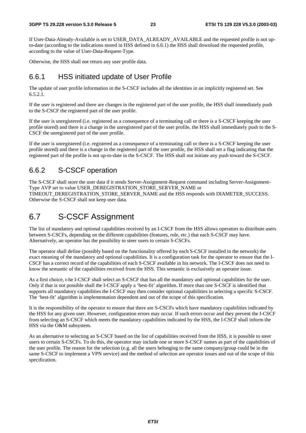If User-Data-Already-Available is set to USER\_DATA\_ALREADY\_AVAILABLE and the requested profile is not upto-date (according to the indications stored in HSS defined in 6.6.1) the HSS shall download the requested profile, according to the value of User-Data-Request-Type.

Otherwise, the HSS shall not return any user profile data.

#### 6.6.1 HSS initiated update of User Profile

The update of user profile information in the S-CSCF includes all the identities in an implicitly registered set. See 6.5.2.1.

If the user is registered and there are changes in the registered part of the user profile, the HSS shall immediately push to the S-CSCF the registered part of the user profile.

If the user is unregistered (i.e. registered as a consequence of a terminating call or there is a S-CSCF keeping the user profile stored) and there is a change in the unregistered part of the user profile, the HSS shall immediately push to the S-CSCF the unregistered part of the user profile.

If the user is unregistered (i.e. registered as a consequence of a terminating call or there is a S-CSCF keeping the user profile stored) and there is a change in the registered part of the user profile, the HSS shall set a flag indicating that the registered part of the profile is not up-to-date in the S-CSCF. The HSS shall not initiate any push toward the S-CSCF.

#### 6.6.2 S-CSCF operation

The S-CSCF shall store the user data if it sends Server-Assignment-Request command including Server-Assignment-Type AVP set to value USER\_DEREGISTRATION\_STORE\_SERVER\_NAME or TIMEOUT\_DEREGISTRATION\_STORE\_SERVER\_NAME and the HSS responds with DIAMETER\_SUCCESS. Otherwise the S-CSCF shall not keep user data.

### 6.7 S-CSCF Assignment

The list of mandatory and optional capabilities received by an I-CSCF from the HSS allows operators to distribute users between S-CSCFs, depending on the different capabilities (features, role, etc.) that each S-CSCF may have. Alternatively, an operator has the possibility to steer users to certain S-CSCFs.

The operator shall define (possibly based on the functionality offered by each S-CSCF installed in the network) the exact meaning of the mandatory and optional capabilities. It is a configuration task for the operator to ensure that the I-CSCF has a correct record of the capabilities of each S-CSCF available in his network. The I-CSCF does not need to know the semantic of the capabilities received from the HSS. This semantic is exclusively an operator issue.

As a first choice, t-he I-CSCF shall select an S-CSCF that has all the mandatory and optional capabilities for the user. Only if that is not possible shall the I-CSCF apply a 'best-fit' algorithm. If more than one S-CSCF is identified that supports all mandatory capabilities the I-CSCF may then consider optional capabilities in selecting a specific S-CSCF. The 'best-fit' algorithm is implementation dependent and out of the scope of this specification.

It is the responsibility of the operator to ensure that there are S-CSCFs which have mandatory capabilities indicated by the HSS for any given user. However, configuration errors may occur. If such errors occur and they prevent the I-CSCF from selecting an S-CSCF which meets the mandatory capabilities indicated by the HSS, the I-CSCF shall inform the HSS via the O&M subsystem.

As an alternative to selecting an S-CSCF based on the list of capabilities received from the HSS, it is possible to steer users to certain S-CSCFs. To do this, the operator may include one or more S-CSCF names as part of the capabilities of the user profile. The reason for the selection (e.g. all the users belonging to the same company/group could be in the same S-CSCF to implement a VPN service) and the method of selection are operator issues and out of the scope of this specification.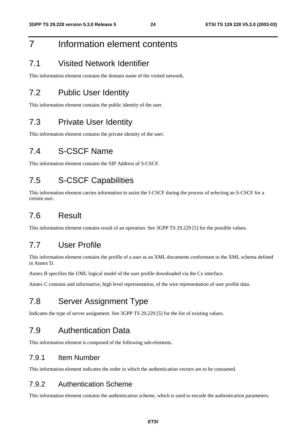## 7 Information element contents

### 7.1 Visited Network Identifier

This information element contains the domain name of the visited network.

### 7.2 Public User Identity

This information element contains the public identity of the user.

### 7.3 Private User Identity

This information element contains the private identity of the user.

#### 7.4 S-CSCF Name

This information element contains the SIP Address of S-CSCF.

### 7.5 S-CSCF Capabilities

This information element carries information to assist the I-CSCF during the process of selecting an S-CSCF for a certain user.

### 7.6 Result

This information element contains result of an operation. See 3GPP TS 29.229 [5] for the possible values.

#### 7.7 User Profile

This information element contains the profile of a user as an XML documents conformant to the XML schema defined in Annex D.

Annex B specifies the UML logical model of the user profile downloaded via the Cx interface.

Annex C contains and informative, high level representation, of the wire representation of user profile data.

### 7.8 Server Assignment Type

Indicates the type of server assignment. See 3GPP TS 29.229 [5] for the list of existing values.

### 7.9 Authentication Data

This information element is composed of the following sub-elements.

#### 7.9.1 Item Number

This information element indicates the order in which the authentication vectors are to be consumed.

#### 7.9.2 Authentication Scheme

This information element contains the authentication scheme, which is used to encode the authentication parameters.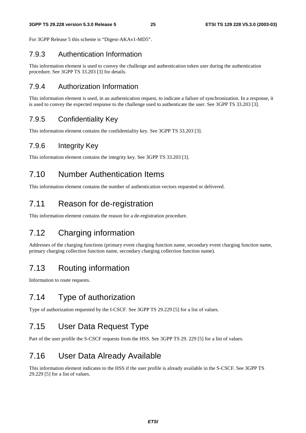For 3GPP Release 5 this scheme is "Digest-AKAv1-MD5".

#### 7.9.3 Authentication Information

This information element is used to convey the challenge and authentication token user during the authentication procedure. See 3GPP TS 33.203 [3] for details.

#### 7.9.4 Authorization Information

This information element is used, in an authentication request, to indicate a failure of synchronization. In a response, it is used to convey the expected response to the challenge used to authenticate the user. See 3GPP TS 33.203 [3].

#### 7.9.5 Confidentiality Key

This information element contains the confidentiality key. See 3GPP TS 33.203 [3].

#### 7.9.6 Integrity Key

This information element contains the integrity key. See 3GPP TS 33.203 [3].

### 7.10 Number Authentication Items

This information element contains the number of authentication vectors requested or delivered.

### 7.11 Reason for de-registration

This information element contains the reason for a de-registration procedure.

### 7.12 Charging information

Addresses of the charging functions (primary event charging function name, secondary event charging function name, primary charging collection function name, secondary charging collection function name).

### 7.13 Routing information

Information to route requests.

### 7.14 Type of authorization

Type of authorization requested by the I-CSCF. See 3GPP TS 29.229 [5] for a list of values.

### 7.15 User Data Request Type

Part of the user profile the S-CSCF requests from the HSS. See 3GPP TS 29. 229 [5] for a list of values.

### 7.16 User Data Already Available

This information element indicates to the HSS if the user profile is already available in the S-CSCF. See 3GPP TS 29.229 [5] for a list of values.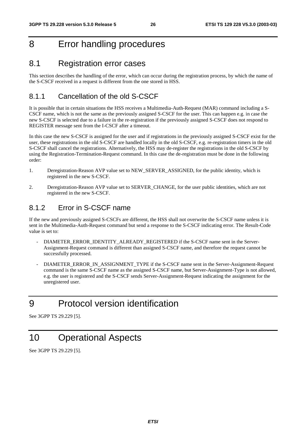## 8 Error handling procedures

#### 8.1 Registration error cases

This section describes the handling of the error, which can occur during the registration process, by which the name of the S-CSCF received in a request is different from the one stored in HSS.

#### 8.1.1 Cancellation of the old S-CSCF

It is possible that in certain situations the HSS receives a Multimedia-Auth-Request (MAR) command including a S-CSCF name, which is not the same as the previously assigned S-CSCF for the user. This can happen e.g. in case the new S-CSCF is selected due to a failure in the re-registration if the previously assigned S-CSCF does not respond to REGISTER message sent from the I-CSCF after a timeout.

In this case the new S-CSCF is assigned for the user and if registrations in the previously assigned S-CSCF exist for the user, these registrations in the old S-CSCF are handled locally in the old S-CSCF, e.g. re-registration timers in the old S-CSCF shall cancel the registrations. Alternatively, the HSS may de-register the registrations in the old S-CSCF by using the Registration-Termination-Request command. In this case the de-registration must be done in the following order:

- 1. Deregistration-Reason AVP value set to NEW\_SERVER\_ASSIGNED, for the public identity, which is registered in the new S-CSCF.
- 2. Deregistration-Reason AVP value set to SERVER\_CHANGE, for the user public identities, which are not registered in the new S-CSCF.

#### 8.1.2 Error in S-CSCE name

If the new and previously assigned S-CSCFs are different, the HSS shall not overwrite the S-CSCF name unless it is sent in the Multimedia-Auth-Request command but send a response to the S-CSCF indicating error. The Result-Code value is set to:

- DIAMETER\_ERROR\_IDENTITY\_ALREADY\_REGISTERED if the S-CSCF name sent in the Server-Assignment-Request command is different than assigned S-CSCF name, and therefore the request cannot be successfully processed.
- DIAMETER\_ERROR\_IN\_ASSIGNMENT\_TYPE if the S-CSCF name sent in the Server-Assignment-Request command is the same S-CSCF name as the assigned S-CSCF name, but Server-Assignment-Type is not allowed, e.g. the user is registered and the S-CSCF sends Server-Assignment-Request indicating the assignment for the unregistered user.

### 9 Protocol version identification

See 3GPP TS 29.229 [5].

### 10 Operational Aspects

See 3GPP TS 29.229 [5].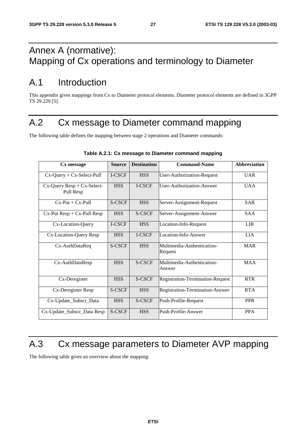## Annex A (normative): Mapping of Cx operations and terminology to Diameter

## A.1 Introduction

This appendix gives mappings from Cx to Diameter protocol elements. Diameter protocol elements are defined in 3GPP TS 29.229 [5].

## A.2 Cx message to Diameter command mapping

The following table defines the mapping between stage 2 operations and Diameter commands:

| Cx message                                    | <b>Source</b> | <b>Destination</b><br><b>Command-Name</b> |                                       | <b>Abbreviation</b> |
|-----------------------------------------------|---------------|-------------------------------------------|---------------------------------------|---------------------|
| $Cx$ -Query + $Cx$ -Select-Pull               | I-CSCF        | <b>HSS</b>                                | <b>User-Authorization-Request</b>     | <b>UAR</b>          |
| $Cx$ -Query Resp + $Cx$ -Select-<br>Pull Resp | <b>HSS</b>    | <b>I-CSCF</b>                             | User-Authorization-Answer             | <b>UAA</b>          |
| $Cx-Put + Cx-Pull$                            | S-CSCF        | <b>HSS</b>                                | Server-Assignment-Request             | <b>SAR</b>          |
| $Cx-Put Resp + Cx-Pull Resp$                  | <b>HSS</b>    | S-CSCF                                    | Server-Assignment-Answer              | <b>SAA</b>          |
| Cx-Location-Query                             | I-CSCF        | <b>HSS</b>                                | Location-Info-Request                 | <b>LIR</b>          |
| Cx-Location-Query Resp                        | <b>HSS</b>    | I-CSCF                                    | Location-Info-Answer                  | <b>LIA</b>          |
| Cx-AuthDataReq                                | S-CSCF        | <b>HSS</b>                                | Multimedia-Authentication-<br>Request | <b>MAR</b>          |
| Cx-AuthDataResp                               | <b>HSS</b>    | <b>S-CSCF</b>                             | Multimedia-Authentication-<br>Answer  | <b>MAA</b>          |
| Cx-Deregister                                 | <b>HSS</b>    | S-CSCF                                    | Registration-Termination-Request      | <b>RTR</b>          |
| Cx-Deregister Resp                            | S-CSCF        | <b>HSS</b>                                | Registration-Termination-Answer       | <b>RTA</b>          |
| Cx-Update_Subscr_Data                         | <b>HSS</b>    | S-CSCF                                    | Push-Profile-Request                  | <b>PPR</b>          |
| Cx-Update_Subscr_Data Resp                    | S-CSCF        | <b>HSS</b>                                | Push-Profile-Answer                   | <b>PPA</b>          |

#### **Table A.2.1: Cx message to Diameter command mapping**

## A.3 Cx message parameters to Diameter AVP mapping

The following table gives an overview about the mapping: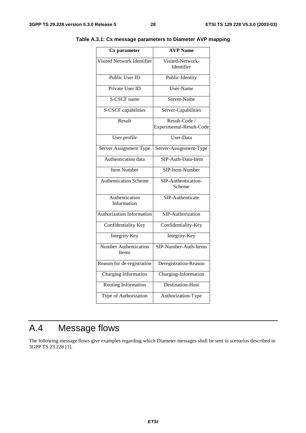| $\overline{\mathbf{C}}$ x parameter          | <b>AVP</b> Name                           |  |  |
|----------------------------------------------|-------------------------------------------|--|--|
| Visited Network Identifier                   | Visited-Network-<br>Identifier            |  |  |
| Public User ID                               | Public-Identity                           |  |  |
| Private User ID                              | User-Name                                 |  |  |
| S-CSCF name                                  | Server-Name                               |  |  |
| S-CSCF capabilities                          | Server-Capabilities                       |  |  |
| Result                                       | Result-Code /<br>Experimental-Result-Code |  |  |
| User profile                                 | User-Data                                 |  |  |
| Server Assignment Type                       | Server-Assignment-Type                    |  |  |
| Authentication data                          | SIP-Auth-Data-Item                        |  |  |
| <b>Item Number</b>                           | SIP-Item-Number                           |  |  |
| <b>Authentication Scheme</b>                 | SIP-Authentication-<br>Scheme             |  |  |
| Authentication<br>Information                | SIP-Authenticate                          |  |  |
| <b>Authorization Information</b>             | SIP-Authorization                         |  |  |
| Confidentiality Key                          | Confidentiality-Key                       |  |  |
| <b>Integrity Key</b>                         | Integrity-Key                             |  |  |
| <b>Number Authentication</b><br><b>Items</b> | SIP-Number-Auth-Items                     |  |  |
| Reason for de-registration                   | Deregistration-Reason                     |  |  |
| <b>Charging Information</b>                  | Charging-Information                      |  |  |
| Routing Information                          | Destination-Host                          |  |  |
| Type of Authorization                        | Authorization-Type                        |  |  |
|                                              |                                           |  |  |

**Table A.3.1: Cx message parameters to Diameter AVP mapping** 

# A.4 Message flows

The following message flows give examples regarding which Diameter messages shall be sent in scenarios described in 3GPP TS 23.228 [1].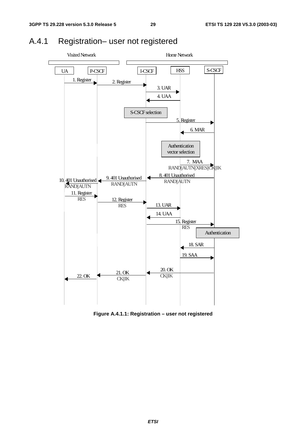

### A.4.1 Registration– user not registered

**Figure A.4.1.1: Registration – user not registered**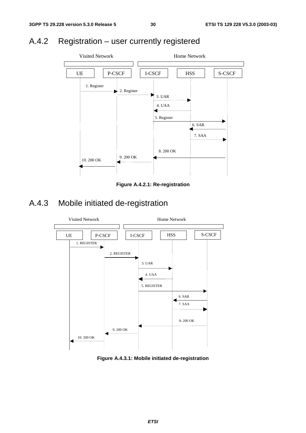## A.4.2 Registration – user currently registered



**Figure A.4.2.1: Re-registration** 

## A.4.3 Mobile initiated de-registration



**Figure A.4.3.1: Mobile initiated de-registration**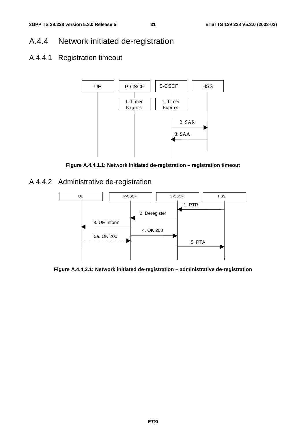## A.4.4 Network initiated de-registration

### A.4.4.1 Registration timeout



**Figure A.4.4.1.1: Network initiated de-registration – registration timeout** 

A.4.4.2 Administrative de-registration



**Figure A.4.4.2.1: Network initiated de-registration – administrative de-registration**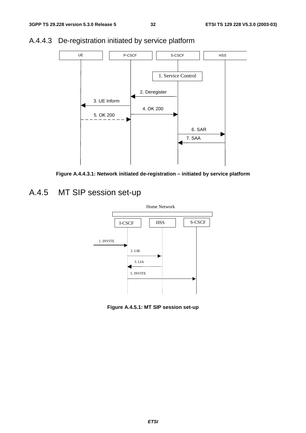

### A.4.4.3 De-registration initiated by service platform



## A.4.5 MT SIP session set-up



**Figure A.4.5.1: MT SIP session set-up**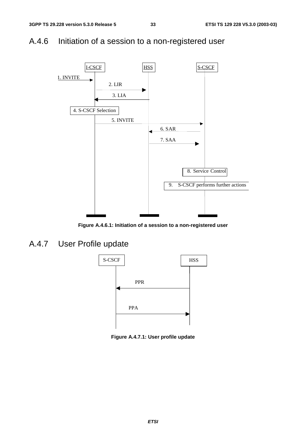## A.4.6 Initiation of a session to a non-registered user



**Figure A.4.6.1: Initiation of a session to a non-registered user** 

A.4.7 User Profile update



**Figure A.4.7.1: User profile update**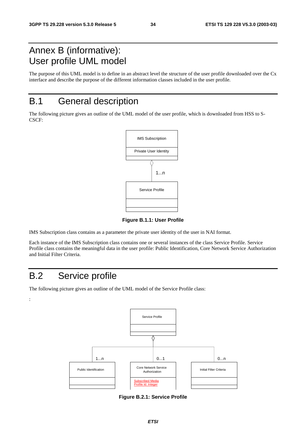## Annex B (informative): User profile UML model

The purpose of this UML model is to define in an abstract level the structure of the user profile downloaded over the Cx interface and describe the purpose of the different information classes included in the user profile.

## B.1 General description

The following picture gives an outline of the UML model of the user profile, which is downloaded from HSS to S-CSCF:



**Figure B.1.1: User Profile** 

IMS Subscription class contains as a parameter the private user identity of the user in NAI format.

Each instance of the IMS Subscription class contains one or several instances of the class Service Profile. Service Profile class contains the meaningful data in the user profile: Public Identification, Core Network Service Authorization and Initial Filter Criteria.

## B.2 Service profile

:

The following picture gives an outline of the UML model of the Service Profile class:



**Figure B.2.1: Service Profile**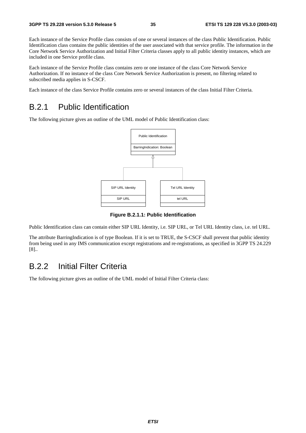Each instance of the Service Profile class consists of one or several instances of the class Public Identification. Public Identification class contains the public identities of the user associated with that service profile. The information in the Core Network Service Authorization and Initial Filter Criteria classes apply to all public identity instances, which are included in one Service profile class.

Each instance of the Service Profile class contains zero or one instance of the class Core Network Service Authorization. If no instance of the class Core Network Service Authorization is present, no filtering related to subscribed media applies in S-CSCF.

Each instance of the class Service Profile contains zero or several instances of the class Initial Filter Criteria.

### B.2.1 Public Identification

The following picture gives an outline of the UML model of Public Identification class:



**Figure B.2.1.1: Public Identification** 

Public Identification class can contain either SIP URL Identity, i.e. SIP URL, or Tel URL Identity class, i.e. tel URL.

The attribute BarringIndication is of type Boolean. If it is set to TRUE, the S-CSCF shall prevent that public identity from being used in any IMS communication except registrations and re-registrations, as specified in 3GPP TS 24.229 [8]..

### B.2.2 Initial Filter Criteria

The following picture gives an outline of the UML model of Initial Filter Criteria class: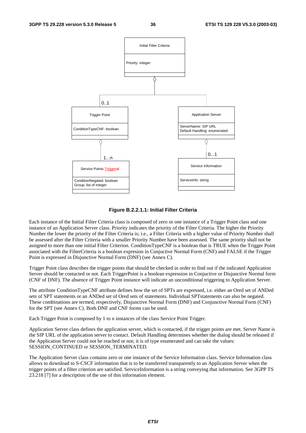

#### **Figure B.2.2.1.1: Initial Filter Criteria**

Each instance of the Initial Filter Criteria class is composed of zero or one instance of a Trigger Point class and one instance of an Application Server class. Priority indicates the priority of the Filter Criteria. The higher the Priority Number the lower the priority of the Filter Criteria is; i.e., a Filter Criteria with a higher value of Priority Number shall be assessed after the Filter Criteria with a smaller Priority Number have been assessed. The same priority shall not be assigned to more than one initial Filter Criterion. ConditionTypeCNF is a boolean that is TRUE when the Trigger Point associated with the FilterCriteria is a boolean expresion in Conjuctive Normal Form (CNF) and FALSE if the Trigger Point is expressed in Disjunctive Normal Form (DNF) (see Annex C).

Trigger Point class describes the trigger points that should be checked in order to find out if the indicated Application Server should be contacted or not. Each TriggerPoint is a boolean expression in Conjuctive or Disjunctive Normal form (CNF of DNF). The absence of Trigger Point instance will indicate an unconditional triggering to Application Server.

The attribute ConditionTypeCNF attribute defines how the set of SPTs are expressed, i.e. either an Ored set of ANDed sets of SPT statements or an ANDed set of Ored sets of statements. Individual SPTstatements can also be negated. These combinations are termed, respectively, Disjunctive Normal Form (DNF) and Conjunctive Normal Form (CNF) for the SPT (see Annex C). Both DNF and CNF forms can be used.

Each Trigger Point is composed by 1 to n instances of the class Service Point Trigger.

Application Server class defines the application server, which is contacted, if the trigger points are met. Server Name is the SIP URL of the application server to contact. Default Handling determines whether the dialog should be released if the Application Server could not be reached or not; it is of type enumerated and can take the values: SESSION\_CONTINUED or SESSION\_TERMINATED.

The Application Server class contains zero or one instance of the Service Information class. Service Information class allows to download to S-CSCF information that is to be transferred transparently to an Application Server when the trigger points of a filter criterion are satisfied. ServiceInformation is a string conveying that information. See 3GPP TS 23.218 [7] for a description of the use of this information element.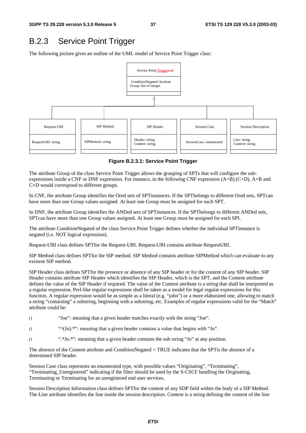### B.2.3 Service Point Trigger

The following picture gives an outline of the UML model of Service Point Trigger class:



**Figure B.2.3.1: Service Point Trigger** 

The attribute Group of the class Service Point Trigger allows the grouping of SPTs that will configure the subexpressions inside a CNF or DNF expression. For instance, in the following CNF expression (A+B).(C+D), A+B and C+D would correspond to different groups.

In CNF, the attribute Group identifies the Ored sets of SPTinstances. If the SPTbelongs to different Ored sets, SPTcan have more than one Group values assigned. At least one Group must be assigned for each SPT.

In DNF, the attribute Group identifies the ANDed sets of SPTinstances. If the SPTbelongs to different ANDed sets, SPTcan have more than one Group values assigned. At least one Group must be assigned for each SPI.

The attribute ConditionNegated of the class Service Point Trigger defines whether the individual SPTinstance is negated (i.e. NOT logical expression).

Request-URI class defines SPTfor the Request-URI. Request-URI contains attribute RequestURI.

SIP Method class defines SPTfor the SIP method. SIP Method contains attribute SIPMethod which can evaluate to any existent SIP method.

SIP Header class defines SPTfor the presence or absence of any SIP header or for the content of any SIP header. SIP Header contains attribute SIP Header which identifies the SIP Header, which is the SPT, and the Content attribute defines the value of the SIP Header if required. The value of the Content attribute is a string that shall be interpreted as a regular expression. Perl-like regular expressions shall be taken as a model for legal regular expressions for this function. A regular expression would be as simple as a literal (e.g. "john") or a more elaborated one, allowing to match a string "containing" a substring, beginning with a substring, etc. Examples of regular expressions valid for the "Match" attribute could be:

- (1 "Joe": meaning that a given header matches exactly with the string "Joe".
- $(1 \t\t m\text{N}(Jo).*)$ ": meaning that a given header contains a value that begins with "Jo".
- (1 ".\*Jo.\*": meaning that a given header contains the sub string "Jo" at any position.

The absence of the Content attribute and ConditionNegated = TRUE indicates that the SPTis the absence of a determined SIP header.

Session Case class represents an enumerated type, with possible values "Originating", "Terminating", "Terminating\_Unregistered" indicating if the filter should be used by the S-CSCF handling the Originating, Terminating or Terminating for an unregistered end user services.

Session Description Information class defines SPTfor the content of any SDP field within the body of a SIP Method. The Line attribute identifies the line inside the session description. Content is a string defining the content of the line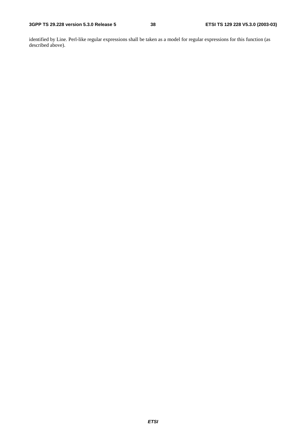identified by Line. Perl-like regular expressions shall be taken as a model for regular expressions for this function (as described above).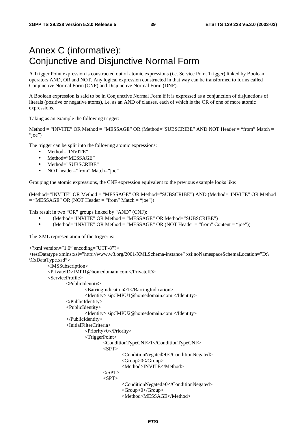## Annex C (informative): Conjunctive and Disjunctive Normal Form

A Trigger Point expression is constructed out of atomic expressions (i.e. Service Point Trigger) linked by Boolean operators AND, OR and NOT. Any logical expression constructed in that way can be transformed to forms called Conjunctive Normal Form (CNF) and Disjunctive Normal Form (DNF).

A Boolean expression is said to be in Conjunctive Normal Form if it is expressed as a conjunction of disjunctions of literals (positive or negative atoms), i.e. as an AND of clauses, each of which is the OR of one of more atomic expressions.

Taking as an example the following trigger:

Method = "INVITE" OR Method = "MESSAGE" OR (Method="SUBSCRIBE" AND NOT Header = "from" Match = "joe")

The trigger can be split into the following atomic expressions:

- Method="INVITE"
- Method="MESSAGE"
- Method="SUBSCRIBE"
- NOT header="from" Match="joe"

Grouping the atomic expressions, the CNF expression equivalent to the previous example looks like:

(Method="INVITE" OR Method = "MESSAGE" OR Method="SUBSCRIBE") AND (Method="INVITE" OR Method  $=$  "MESSAGE" OR (NOT Header  $=$  "from" Match  $=$  "joe"))

This result in two "OR" groups linked by "AND" (CNF):

- (Method="INVITE" OR Method = "MESSAGE" OR Method="SUBSCRIBE")
- (Method="INVITE" OR Method = "MESSAGE" OR (NOT Header = "from" Content = "joe"))

The XML representation of the trigger is:

```
\langle 2xml version="1.0" encoding="UTF-8"?>
<testDatatype xmlns:xsi="http://www.w3.org/2001/XMLSchema-instance" xsi:noNamespaceSchemaLocation="D:\ 
\CxDataType.xsd"> 
         <IMSSubscription> 
         <PrivateID>IMPI1@homedomain.com</PrivateID> 
         <ServiceProfile> 
                 <PublicIdentity> 
                          <BarringIndication>1</BarringIndication> 
                          <Identity> sip:IMPU1@homedomain.com </Identity> 
                  </PublicIdentity> 
                  <PublicIdentity> 
                          <Identity> sip:IMPU2@homedomain.com </Identity> 
                  </PublicIdentity> 
                  <InitialFilterCriteria> 
                          <Priority>0</Priority> 
                          <TriggerPoint> 
                                   <ConditionTypeCNF>1</ConditionTypeCNF> 
                                  <SPT> <ConditionNegated>0</ConditionNegated> 
                                           <Group>0</Group> 
                                           <Method>INVITE</Method> 
                                  \langleSPT><SPT> <ConditionNegated>0</ConditionNegated> 
                                           <Group>0</Group> 
                                           <Method>MESSAGE</Method>
```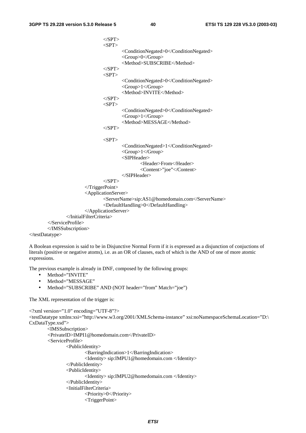```
\langleSPT><SPT> <ConditionNegated>0</ConditionNegated> 
                                  <Group>0</Group> 
                                  <Method>SUBSCRIBE</Method> 
                         </SPT>
                         <SPT> <ConditionNegated>0</ConditionNegated> 
                                  <Group>1</Group> 
                                  <Method>INVITE</Method> 
                         </SPT>
                         <SPT> <ConditionNegated>0</ConditionNegated> 
                                  <Group>1</Group> 
                                  <Method>MESSAGE</Method> 
                         </SPT>
                         <SPT> <ConditionNegated>1</ConditionNegated> 
                                  <Group>1</Group> 
                                  <SIPHeader> 
                                          <Header>From</Header> 
                                          <Content>"joe"</Content> 
                                  </SIPHeader> 
                         </SPT>
                 </TriggerPoint> 
                 <ApplicationServer> 
                          <ServerName>sip:AS1@homedomain.com</ServerName> 
                          <DefaultHandling>0</DefaultHandling> 
                 </ApplicationServer> 
         </InitialFilterCriteria> 
 </ServiceProfile> 
 </IMSSubscription>
```
</testDatatype>

A Boolean expression is said to be in Disjunctive Normal Form if it is expressed as a disjunction of conjuctions of literals (positive or negative atoms), i.e. as an OR of clauses, each of which is the AND of one of more atomic expressions.

The previous example is already in DNF, composed by the following groups:

- Method="INVITE"
- Method="MESSAGE"
- Method="SUBSCRIBE" AND (NOT header="from" Match="joe")

The XML representation of the trigger is:

```
<?xml version="1.0" encoding="UTF-8"?> 
<testDatatype xmlns:xsi="http://www.w3.org/2001/XMLSchema-instance" xsi:noNamespaceSchemaLocation="D:\ 
CxDataType.xsd"> 
         <IMSSubscription> 
         <PrivateID>IMPI1@homedomain.com</PrivateID> 
         <ServiceProfile> 
                  <PublicIdentity> 
                          <BarringIndication>1</BarringIndication> 
                           <Identity> sip:IMPU1@homedomain.com </Identity> 
                  </PublicIdentity> 
                  <PublicIdentity> 
                          <Identity> sip:IMPU2@homedomain.com </Identity> 
                  </PublicIdentity> 
                  <InitialFilterCriteria> 
                          <Priority>0</Priority> 
                          <TriggerPoint>
```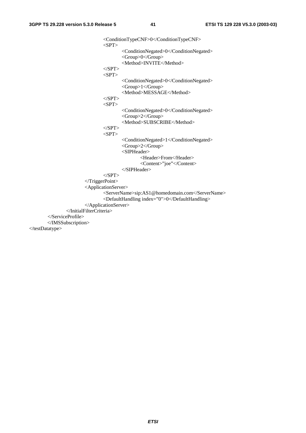|                                         | <conditiontypecnf>0</conditiontypecnf>          |
|-----------------------------------------|-------------------------------------------------|
| $<$ SPT $>$                             |                                                 |
|                                         | <conditionnegated>0</conditionnegated>          |
|                                         | <group>0</group>                                |
|                                         | <method>INVITE</method>                         |
| $<$ /SPT>                               |                                                 |
| $<$ SPT $>$                             |                                                 |
|                                         | <conditionnegated>0</conditionnegated>          |
|                                         | $\langle Group>1\langle Group\rangle$           |
|                                         | <method>MESSAGE</method>                        |
| $<$ /SPT>                               |                                                 |
| $<$ SPT $>$                             |                                                 |
|                                         | <conditionnegated>0</conditionnegated>          |
|                                         | <group>2</group>                                |
|                                         | <method>SUBSCRIBE</method>                      |
| $<$ /SPT>                               |                                                 |
| $<$ SPT $>$                             |                                                 |
|                                         | <conditionnegated>1</conditionnegated>          |
|                                         | <group>2</group>                                |
|                                         | <sipheader></sipheader>                         |
|                                         | <header>From</header>                           |
|                                         | <content>"joe"</content>                        |
|                                         | $\langle$ SIPHeader>                            |
| $<$ SPT>                                |                                                 |
| $\langle$ TriggerPoint>                 |                                                 |
| <applicationserver></applicationserver> |                                                 |
|                                         | <servername>sip:AS1@homedomain.com</servername> |
|                                         | <defaulthandling index="0">0</defaulthandling>  |
|                                         |                                                 |
| $\triangle$ InitialFilterCriteria>      |                                                 |
|                                         |                                                 |
|                                         |                                                 |
|                                         |                                                 |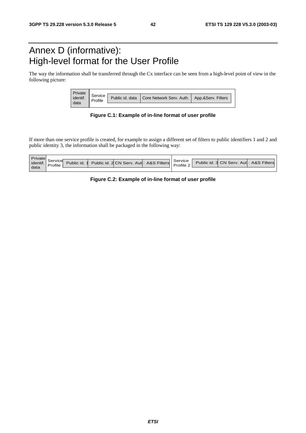## Annex D (informative): High-level format for the User Profile

The way the information shall be transferred through the Cx interface can be seen from a high-level point of view in the following picture:

| Private  |         |                                            |                    |
|----------|---------|--------------------------------------------|--------------------|
| identif. | Service | Public id. data   Core Network Serv. Auth. | App.&Serv. Filters |
|          |         |                                            |                    |

**Figure C.1: Example of in-line format of user profile** 

If more than one service profile is created, for example to assign a different set of filters to public identifiers 1 and 2 and public identity 3, the information shall be packaged in the following way:

| Private  |                |              |                                       |           |                           |             |
|----------|----------------|--------------|---------------------------------------|-----------|---------------------------|-------------|
| identif. | Service        | Public id. 1 | Public id. 2 CN Serv. Aut A&S Filters | Service   | Public id. 3 CN Serv. Aut | A&S Filters |
|          | <b>Profile</b> |              |                                       | Profile 2 |                           |             |
| data     |                |              |                                       |           |                           |             |

**Figure C.2: Example of in-line format of user profile**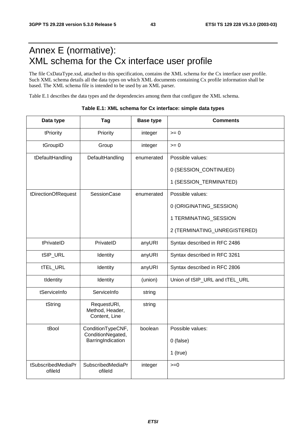## Annex E (normative): XML schema for the Cx interface user profile

The file CxDataType.xsd, attached to this specification, contains the XML schema for the Cx interface user profile. Such XML schema details all the data types on which XML documents containing Cx profile information shall be based. The XML schema file is intended to be used by an XML parser.

Table E.1 describes the data types and the dependencies among them that configure the XML schema.

| Data type                     | Tag                                             | <b>Base type</b> | <b>Comments</b>                |
|-------------------------------|-------------------------------------------------|------------------|--------------------------------|
| tPriority                     | Priority                                        | integer          | $>= 0$                         |
| tGroupID                      | Group                                           | integer          | $>= 0$                         |
| tDefaultHandling              | DefaultHandling                                 | enumerated       | Possible values:               |
|                               |                                                 |                  | 0 (SESSION_CONTINUED)          |
|                               |                                                 |                  | 1 (SESSION_TERMINATED)         |
| tDirectionOfRequest           | <b>SessionCase</b>                              | enumerated       | Possible values:               |
|                               |                                                 |                  | 0 (ORIGINATING_SESSION)        |
|                               |                                                 |                  | 1 TERMINATING_SESSION          |
|                               |                                                 |                  | 2 (TERMINATING_UNREGISTERED)   |
| tPrivateID                    | PrivateID                                       | anyURI           | Syntax described in RFC 2486   |
| tSIP_URL                      | Identity                                        | anyURI           | Syntax described in RFC 3261   |
| tTEL_URL                      | Identity                                        | anyURI           | Syntax described in RFC 2806   |
| tIdentity                     | Identity                                        | (union)          | Union of tSIP_URL and tTEL_URL |
| tServiceInfo                  | ServiceInfo                                     | string           |                                |
| tString                       | RequestURI,<br>Method, Header,<br>Content, Line | string           |                                |
| tBool                         | ConditionTypeCNF,<br>ConditionNegated,          | boolean          | Possible values:               |
|                               | BarringIndication                               |                  | 0 (false)                      |
|                               |                                                 |                  | $1$ (true)                     |
| tSubscribedMediaPr<br>ofileld | SubscribedMediaPr<br>ofileld                    | integer          | $>=0$                          |

**Table E.1: XML schema for Cx interface: simple data types**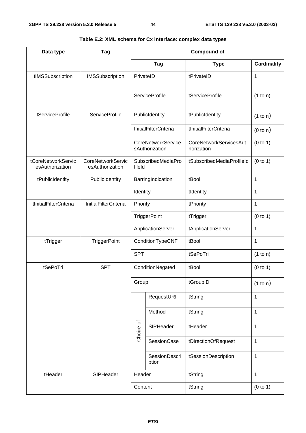| Data type                             | Tag                                         | <b>Compound of</b>                           |                                                 |                                             |                    |  |  |
|---------------------------------------|---------------------------------------------|----------------------------------------------|-------------------------------------------------|---------------------------------------------|--------------------|--|--|
|                                       |                                             |                                              | Tag                                             | <b>Type</b>                                 | <b>Cardinality</b> |  |  |
| tIMSSubscription                      | <b>IMSSubscription</b>                      | PrivateID                                    |                                                 | tPrivateID                                  | 1                  |  |  |
|                                       |                                             |                                              | <b>ServiceProfile</b>                           | tServiceProfile                             | (1 to n)           |  |  |
| tServiceProfile                       | <b>ServiceProfile</b>                       |                                              | PublicIdentity                                  | tPublicIdentity                             | (1 to n)           |  |  |
|                                       |                                             |                                              | <b>InitialFilterCriteria</b>                    | tInitialFilterCriteria                      | (0 to n)           |  |  |
|                                       |                                             |                                              | <b>CoreNetworkService</b><br>sAuthorization     | <b>CoreNetworkServicesAut</b><br>horization | (0 to 1)           |  |  |
| tCoreNetworkServic<br>esAuthorization | <b>CoreNetworkServic</b><br>esAuthorization | fileld                                       | SubscribedMediaPro<br>tSubscribedMediaProfileId |                                             | (0 to 1)           |  |  |
| tPublicIdentity                       | PublicIdentity                              |                                              | BarringIndication                               | tBool                                       | $\mathbf{1}$       |  |  |
|                                       |                                             | Identity                                     |                                                 | tIdentity                                   | 1                  |  |  |
| tInitialFilterCriteria                | <b>InitialFilterCriteria</b>                | Priority                                     |                                                 | tPriority                                   | $\mathbf{1}$       |  |  |
|                                       |                                             |                                              | <b>TriggerPoint</b>                             | tTrigger                                    | (0 to 1)           |  |  |
|                                       |                                             |                                              | ApplicationServer                               | tApplicationServer                          | $\mathbf{1}$       |  |  |
| tTrigger                              | <b>TriggerPoint</b>                         |                                              | ConditionTypeCNF                                | tBool                                       | $\mathbf{1}$       |  |  |
|                                       |                                             | <b>SPT</b>                                   |                                                 | tSePoTri                                    | (1 to n)           |  |  |
| tSePoTri                              | <b>SPT</b>                                  | ConditionNegated                             |                                                 | tBool                                       | (0 to 1)           |  |  |
|                                       |                                             | Group                                        |                                                 | tGroupID                                    | (1 to n)           |  |  |
|                                       |                                             |                                              | RequestURI                                      | tString                                     | $\mathbf{1}$       |  |  |
|                                       |                                             |                                              | Method                                          | tString                                     | $\mathbf 1$        |  |  |
|                                       |                                             | Choice of                                    | SIPHeader                                       | tHeader                                     | $\mathbf{1}$       |  |  |
|                                       |                                             | SessionCase<br><b>SessionDescri</b><br>ption |                                                 | tDirectionOfRequest                         | $\mathbf{1}$       |  |  |
|                                       |                                             |                                              |                                                 | tSessionDescription                         | $\mathbf{1}$       |  |  |
| tHeader                               | SIPHeader                                   | Header                                       |                                                 | tString                                     | $\mathbf{1}$       |  |  |
|                                       |                                             | Content                                      |                                                 | tString                                     | (0 to 1)           |  |  |

#### **Table E.2: XML schema for Cx interface: complex data types**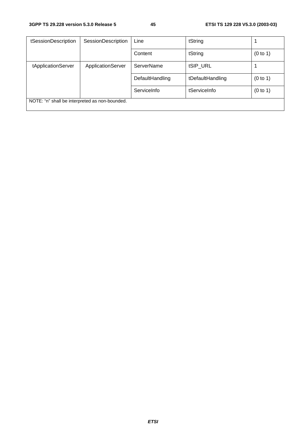| tSessionDescription                            | <b>SessionDescription</b> | Line            | tString          |          |  |  |
|------------------------------------------------|---------------------------|-----------------|------------------|----------|--|--|
|                                                |                           | Content         | tString          | (0 to 1) |  |  |
| tApplicationServer                             | ApplicationServer         | ServerName      | tSIP_URL         |          |  |  |
|                                                |                           | DefaultHandling | tDefaultHandling | (0 to 1) |  |  |
|                                                |                           | ServiceInfo     | tServiceInfo     | (0 to 1) |  |  |
| NOTE: "n" shall be interpreted as non-bounded. |                           |                 |                  |          |  |  |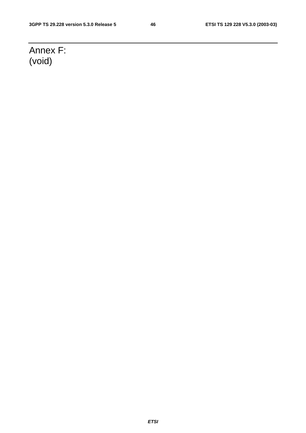## Annex F: (void)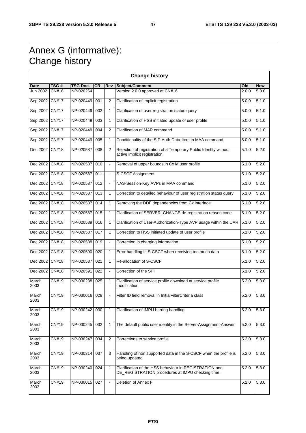## Annex G (informative): Change history

| <b>Change history</b> |              |           |           |                          |                                                                                                             |       |                    |  |
|-----------------------|--------------|-----------|-----------|--------------------------|-------------------------------------------------------------------------------------------------------------|-------|--------------------|--|
| <b>Date</b>           | TSG#         | TSG Doc.  | <b>CR</b> | Rev                      | Subject/Comment                                                                                             | Old   | <b>New</b>         |  |
| Jun 2002              | CN#16        | NP-020264 |           |                          | Version 2.0.0 approved at CN#16                                                                             | 2.0.0 | 5.0.0              |  |
| Sep 2002              | <b>CN#17</b> | NP-020449 | 001       | 2                        | Clarification of implicit registration                                                                      | 5.0.0 | 5.1.0              |  |
| Sep 2002              | <b>CN#17</b> | NP-020449 | 002       | 1                        | Clarification of user registration status query                                                             | 5.0.0 | 5.1.0              |  |
| Sep 2002 CN#17        |              | NP-020449 | 003       | $\mathbf{1}$             | Clarification of HSS initiated update of user profile                                                       | 5.0.0 | 5.1.0              |  |
| Sep 2002              | <b>CN#17</b> | NP-020449 | 004       | 2                        | Clarification of MAR command                                                                                | 5.0.0 | 5.1.0              |  |
| Sep 2002 CN#17        |              | NP-020449 | 005       | 1                        | Conditionality of the SIP-Auth-Data-Item in MAA command                                                     | 5.0.0 | 5.1.0              |  |
| Dec 2002 CN#18        |              | NP-020587 | 008       | 2                        | Rejection of registration of a Temporary Public Identity without<br>active implicit registration            | 5.1.0 | 5.2.0              |  |
| Dec 2002 CN#18        |              | NP-020587 | 010       | $\blacksquare$           | Removal of upper bounds in Cx i/f user profile                                                              | 5.1.0 | 5.2.0              |  |
| Dec 2002              | <b>CN#18</b> | NP-020587 | 011       | $\blacksquare$           | S-CSCF Assignment                                                                                           | 5.1.0 | 5.2.0              |  |
| Dec 2002 CN#18        |              | NP-020587 | 012       |                          | NAS-Session-Key AVPs in MAA command                                                                         | 5.1.0 | 5.2.0              |  |
| Dec 2002 CN#18        |              | NP-020587 | 013       | 1                        | Correction to detailed behaviour of user registration status query                                          | 5.1.0 | 5.2.0              |  |
| Dec 2002 CN#18        |              | NP-020587 | 014       | 1                        | Removing the DDF dependencies from Cx interface                                                             | 5.1.0 | 5.2.0              |  |
| Dec 2002 CN#18        |              | NP-020587 | 015       | $\mathbf{1}$             | Clarification of SERVER_CHANGE de-registration reason code                                                  | 5.1.0 | 5.2.0              |  |
| Dec 2002 CN#18        |              | NP-020589 | 016       | $\mathbf{1}$             | Clarification of User-Authorization-Type AVP usage within the UAR                                           | 5.1.0 | 5.2.0              |  |
| Dec 2002 CN#18        |              | NP-020587 | 017       | 1                        | Correction to HSS initiated update of user profile                                                          | 5.1.0 | 5.2.0              |  |
| Dec 2002 CN#18        |              | NP-020588 | 019       | $\blacksquare$           | Correction in charging information                                                                          | 5.1.0 | 5.2.0              |  |
| Dec 2002              | <b>CN#18</b> | NP-020590 | 020       | 1                        | Error handling in S-CSCF when receiving too much data                                                       | 5.1.0 | 5.2.0              |  |
| Dec 2002 CN#18        |              | NP-020587 | 021       | 1                        | Re-allocation of S-CSCF                                                                                     | 5.1.0 | 5.2.0              |  |
| Dec 2002              | <b>CN#18</b> | NP-020591 | 022       | $\blacksquare$           | Correction of the SPI                                                                                       | 5.1.0 | 5.2.0              |  |
| March<br>2003         | CN#19        | NP-030238 | 025       | $\mathbf{1}$             | Clarification of service profile download at service profile<br>modification                                | 5.2.0 | 5.3.0              |  |
| March<br>2003         | CN#19        | NP-030016 | 028       | $\blacksquare$           | Filter ID field removal in InitialFilterCriteria class                                                      | 5.2.0 | 5.3.0              |  |
| March<br>2003         | <b>CN#19</b> | NP-030242 | 030       | $\mathbf{1}$             | Clarification of IMPU barring handling                                                                      | 5.2.0 | 5.3.0              |  |
| March<br>2003         | CN#19        | NP-030245 | 032       | $\mathbf{1}$             | The default public user identity in the Server-Assignment-Answer                                            | 5.2.0 | 5.3.0              |  |
| March<br>2003         | <b>CN#19</b> | NP-030247 | 034       | $\overline{2}$           | Corrections to service profile                                                                              | 5.2.0 | 5.3.0              |  |
| March<br>2003         | CN#19        | NP-030314 | 037       | 3                        | Handling of non supported data in the S-CSCF when the profile is<br>being updated                           | 5.2.0 | $\overline{5.3.0}$ |  |
| March<br>2003         | CN#19        | NP-030240 | 024       | $\mathbf{1}$             | Clarification of the HSS behaviour in REGISTRATION and<br>DE_REGISTRATION procedures at IMPU checking time. | 5.2.0 | $\overline{5.3.0}$ |  |
| March<br>2003         | <b>CN#19</b> | NP-030015 | 027       | $\overline{\phantom{a}}$ | Deletion of Annex F                                                                                         | 5.2.0 | 5.3.0              |  |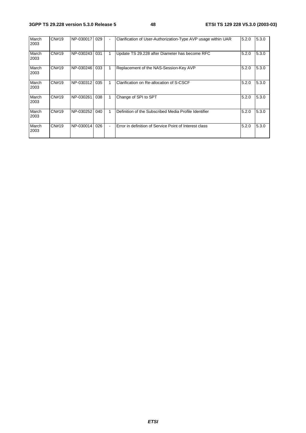| March<br>2003 | CN#19 | NP-030017 | 029 | $\blacksquare$ | Clarification of User-Authorization-Type AVP usage within UAR | 5.2.0 | 5.3.0 |
|---------------|-------|-----------|-----|----------------|---------------------------------------------------------------|-------|-------|
| March<br>2003 | CN#19 | NP-030243 | 031 |                | Update TS 29.228 after Diameter has become RFC                | 5.2.0 | 5.3.0 |
| March<br>2003 | CN#19 | NP-030246 | 033 |                | Replacement of the NAS-Session-Key AVP                        | 5.2.0 | 5.3.0 |
| March<br>2003 | CN#19 | NP-030312 | 035 |                | Clarification on Re-allocation of S-CSCF                      | 5.2.0 | 5.3.0 |
| March<br>2003 | CN#19 | NP-030261 | 038 |                | Change of SPI to SPT                                          | 5.2.0 | 5.3.0 |
| March<br>2003 | CN#19 | NP-030252 | 040 |                | Definition of the Subscribed Media Profile Identifier         | 5.2.0 | 5.3.0 |
| March<br>2003 | CN#19 | NP-030014 | 026 | $\blacksquare$ | Error in definition of Service Point of Interest class        | 5.2.0 | 5.3.0 |